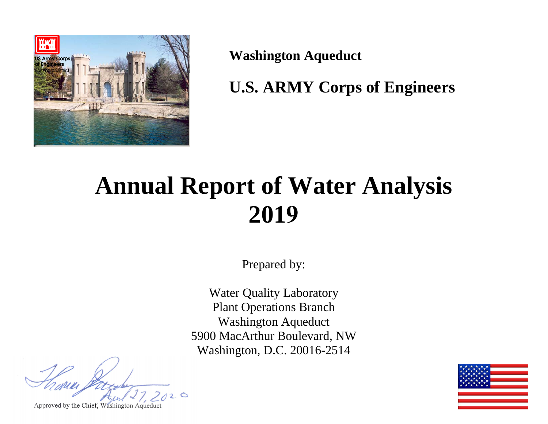

**Washington Aqueduct** 

**U.S. ARMY Corps of Engineers** 

# **Annual Report of Water Analysis 2019**

Prepared by:

Water Quality Laboratory Plant Operations Branch Washington Aqueduct 5900 MacArthur Boulevard, NW Washington, D.C. 20016-2514

 $20$ 

Approved by the Chief, Washington Aqueduct

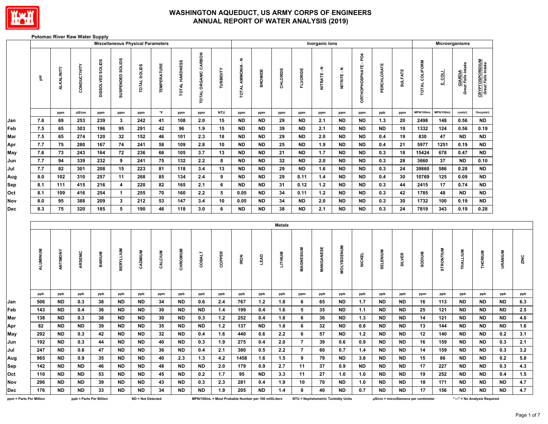

#### **Potomac River Raw Water Supply**

|                         |                      |            |              |                         |                  | <b>Miscellaneous Physical Parameters</b> |                    |                |                      |            |                                                      |                |               |                 | Inorganic lons                      |                   |                           |                 |                |                                     |           | Microorganisms                       |                                              |           |      |
|-------------------------|----------------------|------------|--------------|-------------------------|------------------|------------------------------------------|--------------------|----------------|----------------------|------------|------------------------------------------------------|----------------|---------------|-----------------|-------------------------------------|-------------------|---------------------------|-----------------|----------------|-------------------------------------|-----------|--------------------------------------|----------------------------------------------|-----------|------|
|                         | $\frac{\pi}{\Delta}$ | ALKALINITY | CONDUCTIVITY | DISSOLVED SOLIDS        | SUSPENDED SOLIDS | TOTAL SOLIDS                             | <b>TEMPERATURE</b> | TOTAL HARDNESS | TOTAL ORGANIC CARBON | TURBIDITY  | TOTAL AMMONIA - N                                    | <b>BROMIDE</b> | CHLORIDE      | <b>FLUORIDE</b> | NITRATE-N                           | NITRITE - N       | <b>DRTHOPHOSPHATE-PO4</b> | PERCHLORATE     | <b>SULFATE</b> | TOTAL COLIFORM                      | From      | <b>GIARDIA</b><br>Great Falls Intake | <b>CRYPTOSPORIDIUM</b><br>Great Falls Intake |           |      |
|                         |                      | ppm        | uS/cm        | ppm                     | ppm              | ppm                                      | $\,^{\circ}$ F     | ppm            | ppm                  | <b>NTU</b> | ppm                                                  | ppm            | ppm           | ppm             | ppm                                 | ppm               | ppm                       | ppb             | ppm            | MPN/100mL                           | MPN/100ml | cysts/L                              | Oocysts/L                                    |           |      |
| Jan                     | 7.6                  | 69         | 253          | 239                     | $\mathbf{3}$     | 242                                      | 41                 | 108            | 2.0                  | 15         | <b>ND</b>                                            | <b>ND</b>      | 29            | <b>ND</b>       | 2.1                                 | <b>ND</b>         | <b>ND</b>                 | 1.3             | 20             | 2498                                | 148       | 0.56                                 | <b>ND</b>                                    |           |      |
| Feb                     | 7.5                  | 65         | 303          | 196                     | 95               | 291                                      | 42                 | 96             | 1.9                  | 15         | <b>ND</b>                                            | <b>ND</b>      | 39            | <b>ND</b>       | 2.1                                 | <b>ND</b>         | <b>ND</b>                 | <b>ND</b>       | 19             | 1332                                | 124       | 0.56                                 | 0.19                                         |           |      |
| Mar                     | 7.5                  | 65         | 274          | 120                     | 32               | 152                                      | 46                 | 101            | 2.3                  | 18         | <b>ND</b>                                            | <b>ND</b>      | 29            | <b>ND</b>       | 2.0                                 | <b>ND</b>         | <b>ND</b>                 | 0.4             | 19             | 830                                 | 47        | <b>ND</b>                            | <b>ND</b>                                    |           |      |
| Apr                     | 7.7                  | 75         | 280          | 167                     | 74               | 241                                      | 58                 | 109            | 2.8                  | 10         | <b>ND</b>                                            | <b>ND</b>      | 25            | <b>ND</b>       | 1.9                                 | <b>ND</b>         | <b>ND</b>                 | 0.4             | 21             | 5977                                | 1251      | 0.19                                 | <b>ND</b>                                    |           |      |
| May                     | 7.6                  | 73         | 243          | 164                     | 72               | 236                                      | 66                 | 105            | 3.7                  | 13         | <b>ND</b>                                            | <b>ND</b>      | 21            | <b>ND</b>       | 1.7                                 | <b>ND</b>         | <b>ND</b>                 | 0.3             | 18             | 15424                               | 678       | 0.47                                 | <b>ND</b>                                    |           |      |
| Jun                     | 7.7                  | 94         | 339          | 232                     | 9                | 241                                      | 75                 | 132            | 2.2                  | 8          | <b>ND</b>                                            | <b>ND</b>      | 32            | <b>ND</b>       | 2.0                                 | <b>ND</b>         | <b>ND</b>                 | 0.3             | 28             | 3660                                | 37        | <b>ND</b>                            | 0.10                                         |           |      |
| Jul                     | 7.7                  | 82         | 301          | 208                     | 15               | 223                                      | 81                 | 118            | 3.4                  | 13         | <b>ND</b>                                            | <b>ND</b>      | 29            | <b>ND</b>       | 1.6                                 | <b>ND</b>         | <b>ND</b>                 | 0.3             | 24             | 39860                               | 586       | 0.28                                 | <b>ND</b>                                    |           |      |
| Aug                     | 8.0                  | 102        | 310          | 257                     | 11               | 268                                      | 85                 | 134            | $2.4$                | 9          | <b>ND</b>                                            | <b>ND</b>      | 29            | 0.11            | 1.4                                 | <b>ND</b>         | <b>ND</b>                 | $0.4\,$         | 30             | 10769                               | 125       | 0.09                                 | <b>ND</b>                                    |           |      |
| Sep                     | 8.1                  | 111        | 415          | 216                     | 4                | 220                                      | 82                 | 165            | 2.1                  | 6          | <b>ND</b>                                            | <b>ND</b>      | 31            | 0.12            | $1.2$                               | <b>ND</b>         | <b>ND</b>                 | 0.3             | 44             | 2415                                | 17        | 0.74                                 | <b>ND</b>                                    |           |      |
| Oct                     | 8.1                  | 109        | 416          | 254                     | $\mathbf{1}$     | 255                                      | 70                 | 160            | 2.2                  | 5          | 0.05                                                 | <b>ND</b>      | 34            | 0.11            | $1.2$                               | <b>ND</b>         | <b>ND</b>                 | 0.3             | 42             | 1785                                | 48        | <b>ND</b>                            | <b>ND</b>                                    |           |      |
| Nov                     | 8.0                  | 95         | 388          | 209                     | $\mathbf{3}$     | 212                                      | 53                 | 147            | $3.4\,$              | 10         | 0.05                                                 | <b>ND</b>      | 34            | <b>ND</b>       | 2.0                                 | <b>ND</b>         | <b>ND</b>                 | 0.3             | 30             | 1732                                | 100       | 0.19                                 | ${\sf ND}$                                   |           |      |
| <b>Dec</b>              | 8.3                  | 75         | 320          | 185                     | 5                | 190                                      | 46                 | 118            | 3.0                  | 6          | <b>ND</b>                                            | <b>ND</b>      | 38            | <b>ND</b>       | 2.1                                 | <b>ND</b>         | <b>ND</b>                 | 0.3             | 24             | 7819                                | 343       | 0.19                                 | 0.28                                         |           |      |
|                         |                      |            |              |                         |                  |                                          |                    |                |                      |            |                                                      |                | <b>Metals</b> |                 |                                     |                   |                           |                 |                |                                     |           |                                      |                                              |           |      |
|                         | <b>ALUMINUM</b>      | ANTIMONY   | ARSENIC      | <b>BARIUM</b>           | <b>BERYLLIUM</b> | CADMIUM                                  | CALCIUM            | CHROMIUM       | <b>COBALT</b>        | COPPER     | <b>IRON</b>                                          | <b>LEAD</b>    | LITHIUM       | MAGNESIUM       | MANGANESE                           | <b>MOLYBDENUM</b> | <b>NICKEL</b>             | <b>SELENIUM</b> | <b>SILVER</b>  | <b>NUIGOS</b>                       | STRONTIUM | THALLIUM                             | THORIUM                                      | URANIUM   | ZINC |
|                         | ppb                  | ppb        | ppb          | ppb                     | ppb              | ppb                                      | ppm                | ppb            | ppb                  | ppb        | ppb                                                  | ppb            | ppb           | ppm             | ppb                                 | ppb               | ppb                       | ppb             | ppb            | ppm                                 | ppb       | ppb                                  | ppb                                          | ppb       | ppb  |
| Jan                     | 506                  | <b>ND</b>  | 0.3          | 38                      | <b>ND</b>        | <b>ND</b>                                | 34                 | <b>ND</b>      | $0.6\,$              | 2.4        | 767                                                  | $1.2$          | 1.8           | 6               | 65                                  | <b>ND</b>         | 1.7                       | <b>ND</b>       | <b>ND</b>      | 16                                  | 113       | <b>ND</b>                            | <b>ND</b>                                    | <b>ND</b> | 6.3  |
| Feb                     | 143                  | <b>ND</b>  | 0.4          | 36                      | <b>ND</b>        | <b>ND</b>                                | 30                 | <b>ND</b>      | <b>ND</b>            | 1.4        | 199                                                  | 0.4            | 1.6           | $5\phantom{.0}$ | 35                                  | ND                | 1.1                       | <b>ND</b>       | <b>ND</b>      | 25                                  | 121       | <b>ND</b>                            | <b>ND</b>                                    | <b>ND</b> | 2.5  |
| Mar                     | 138                  | <b>ND</b>  | 0.3          | 38                      | <b>ND</b>        | <b>ND</b>                                | 30                 | <b>ND</b>      | 0.3                  | 1.2        | 252                                                  | 0.4            | 1.8           | 6               | 36                                  | <b>ND</b>         | 1.3                       | <b>ND</b>       | <b>ND</b>      | 14                                  | 121       | <b>ND</b>                            | <b>ND</b>                                    | <b>ND</b> | 4.0  |
| Apr                     | 82                   | <b>ND</b>  | <b>ND</b>    | 39                      | <b>ND</b>        | <b>ND</b>                                | 35                 | <b>ND</b>      | <b>ND</b>            | 1.2        | 137                                                  | <b>ND</b>      | 1.8           | 6               | 32                                  | <b>ND</b>         | 0.8                       | <b>ND</b>       | <b>ND</b>      | 13                                  | 144       | <b>ND</b>                            | <b>ND</b>                                    | <b>ND</b> | 1.6  |
| May                     | 292                  | <b>ND</b>  | 0.3          | 42                      | <b>ND</b>        | <b>ND</b>                                | 32                 | <b>ND</b>      | 0.4                  | 1.6        | 440                                                  | 0.6            | 2.2           | 6               | 57                                  | <b>ND</b>         | $1.2$                     | <b>ND</b>       | <b>ND</b>      | 12                                  | 140       | <b>ND</b>                            | <b>ND</b>                                    | 0.2       | 3.1  |
| Jun                     | 192                  | <b>ND</b>  | 0.3          | 44                      | <b>ND</b>        | <b>ND</b>                                | 40                 | <b>ND</b>      | 0.3                  | 1.9        | 275                                                  | 0.4            | 2.0           | $\overline{7}$  | 39                                  | 0.6               | 0.9                       | <b>ND</b>       | <b>ND</b>      | 16                                  | 159       | <b>ND</b>                            | <b>ND</b>                                    | 0.3       | 2.1  |
| Jul                     | 247                  | <b>ND</b>  | 0.6          | 47                      | <b>ND</b>        | <b>ND</b>                                | 36                 | <b>ND</b>      | $0.4\,$              | 2.1        | 380                                                  | 0.5            | 2.2           | $\overline{7}$  | 60                                  | 0.7               | 1.4                       | <b>ND</b>       | <b>ND</b>      | 14                                  | 159       | <b>ND</b>                            | <b>ND</b>                                    | 0.3       | 3.2  |
| Aug                     | 965                  | <b>ND</b>  | 0.9          | 35                      | <b>ND</b>        | <b>ND</b>                                | 40                 | 2.3            | 1.3                  | 4.2        | 1458                                                 | 1.6            | $1.5$         | 9               | 79                                  | <b>ND</b>         | 3.8                       | <b>ND</b>       | <b>ND</b>      | 15                                  | 86        | <b>ND</b>                            | <b>ND</b>                                    | 0.2       | 5.8  |
| Sep                     | 142                  | <b>ND</b>  | <b>ND</b>    | 46                      | <b>ND</b>        | <b>ND</b>                                | 48                 | <b>ND</b>      | <b>ND</b>            | 2.0        | 179                                                  | 0.9            | 2.7           | 11              | 37                                  | 0.9               | <b>ND</b>                 | <b>ND</b>       | <b>ND</b>      | 17                                  | 227       | <b>ND</b>                            | <b>ND</b>                                    | 0.3       | 4.3  |
| Oct                     | 110                  | <b>ND</b>  | <b>ND</b>    | 53                      | <b>ND</b>        | <b>ND</b>                                | 45                 | <b>ND</b>      | 0.2                  | 1.7        | 95                                                   | <b>ND</b>      | 3.3           | 11              | 27                                  | 1.0               | 1.0                       | <b>ND</b>       | <b>ND</b>      | 19                                  | 252       | <b>ND</b>                            | <b>ND</b>                                    | 0.4       | 1.5  |
| Nov                     | 296                  | <b>ND</b>  | <b>ND</b>    | 39                      | <b>ND</b>        | <b>ND</b>                                | 43                 | <b>ND</b>      | 0.3                  | 2.3        | 281                                                  | 0.4            | 1.9           | 10              | 70                                  | <b>ND</b>         | 1.0                       | <b>ND</b>       | <b>ND</b>      | 18                                  | 171       | <b>ND</b>                            | <b>ND</b>                                    | <b>ND</b> | 4.7  |
| Dec                     | 176                  | <b>ND</b>  | <b>ND</b>    | 33                      | <b>ND</b>        | <b>ND</b>                                | 34                 | <b>ND</b>      | <b>ND</b>            | 1.9        | 205                                                  | <b>ND</b>      | $1.4$         | 8               | 40                                  | <b>ND</b>         | 0.7                       | <b>ND</b>       | <b>ND</b>      | 17                                  | 156       | <b>ND</b>                            | <b>ND</b>                                    | <b>ND</b> | 4.7  |
| ppm = Parts Per Million |                      |            |              | ppb = Parts Per Billion |                  | $ND = Not$ Detected                      |                    |                |                      |            | MPN/100mL = Most Probable Number per 100 milliLiters |                |               |                 | NTU = Nephelometric Turbidity Units |                   |                           |                 |                | uS/cm = microSiemens per centimeter |           |                                      | "---" = No Analysis Required                 |           |      |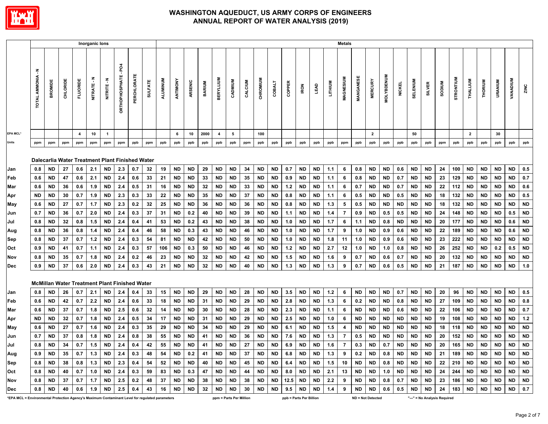

|                                                                                                                                                                                                                                                                                                                                                                                                                                                                                                                                                                                                                                                                                                                      | <b>Metals</b><br>Inorganic lons |                 |                                                      |                 |                     |                 |                      |             |                |                 |                  |            |               |                         |                 |           |                        |                 |            |                         |                 |            |                |                 |                        |                   |                 |                              |                        |               |            |                        |                        |                 |                 |                        |
|----------------------------------------------------------------------------------------------------------------------------------------------------------------------------------------------------------------------------------------------------------------------------------------------------------------------------------------------------------------------------------------------------------------------------------------------------------------------------------------------------------------------------------------------------------------------------------------------------------------------------------------------------------------------------------------------------------------------|---------------------------------|-----------------|------------------------------------------------------|-----------------|---------------------|-----------------|----------------------|-------------|----------------|-----------------|------------------|------------|---------------|-------------------------|-----------------|-----------|------------------------|-----------------|------------|-------------------------|-----------------|------------|----------------|-----------------|------------------------|-------------------|-----------------|------------------------------|------------------------|---------------|------------|------------------------|------------------------|-----------------|-----------------|------------------------|
|                                                                                                                                                                                                                                                                                                                                                                                                                                                                                                                                                                                                                                                                                                                      | TOTAL AMMONIA - N               | BROMIDE         | <b>CHLORIDE</b>                                      | <b>FLUORIDE</b> | Ŧ<br><b>NITRATE</b> | NITRITE - N     | 54<br>ORTHOPHOSPHATE | PERCHLORATE | <b>SULFATE</b> | <b>ALUMINUM</b> | ANTIMONY         | ARSENIC    | <b>BARIUM</b> | <b>BERYLLIUM</b>        | CADMIUM         | CALCIUM   | CHROMIUM               | <b>COBALT</b>   | COPPER     | RON                     | <b>LEAD</b>     | LITHIUM    | MAGNESIUM      | MANGANESE       | <b>MERCURY</b>         | <b>MOLYBDENUM</b> | <b>NICKEL</b>   | <b>SELENIUM</b>              | <b>SILVER</b>          | <b>MUIDOS</b> | STRONTIUM  | THALLIUM               | THORIUM                | <b>URANIUM</b>  | VANADIUM        | ZINC                   |
| EPA MCL*                                                                                                                                                                                                                                                                                                                                                                                                                                                                                                                                                                                                                                                                                                             |                                 |                 |                                                      | $\overline{4}$  | 10                  | $\mathbf{1}$    |                      |             |                |                 | 6                | 10         | 2000          | $\overline{4}$          | 5               |           | 100                    |                 |            |                         |                 |            |                |                 | $\overline{2}$         |                   |                 | 50                           |                        |               |            | $\overline{2}$         |                        | 30              |                 |                        |
| Units                                                                                                                                                                                                                                                                                                                                                                                                                                                                                                                                                                                                                                                                                                                | ppm                             | ppm             | ppm                                                  | ppm             | ppm                 | ppm             | ppm                  | ppb         | ppm            | ppb             | ppb              | ppb        | ppb           | ppb                     | ppb             | ppm       | ppb                    | ppb             | ppb        | ppb                     | ppb             | ppb        | ppm            | ppb             | ppb                    | ppb               | ppb             | ppb                          | ppb                    | ppm           | ppb        | ppb                    | ppb                    | ppb             | ppb             | ppb                    |
| Dalecarlia Water Treatment Plant Finished Water<br>19<br><b>ND</b><br><b>ND</b><br><b>ND</b><br><b>ND</b><br><b>ND</b><br><b>ND</b><br><b>ND</b><br><b>ND</b><br>24<br>100<br><b>ND</b><br><b>ND</b><br><b>ND</b><br><b>ND</b><br>27<br>0.6<br>2.1<br><b>ND</b><br>2.3<br>0.7<br>32<br><b>ND</b><br><b>ND</b><br>29<br><b>ND</b><br><b>ND</b><br>34<br>0.7<br>1.1<br>6<br>0.8<br>0.6<br>Jan<br>0.8<br>23<br><b>ND</b><br>47<br>33<br><b>ND</b><br>35<br><b>ND</b><br><b>ND</b><br><b>ND</b><br>0.8<br><b>ND</b><br><b>ND</b><br>0.7<br><b>ND</b><br><b>ND</b><br>129<br><b>ND</b><br><b>ND</b><br>Feb<br>0.6<br>0.6<br>2.1<br>ND<br>2.4<br>0.6<br>21<br>ND.<br>33<br><b>ND</b><br>ND<br>0.9<br><b>ND</b><br>1.1<br>6 |                                 |                 |                                                      |                 |                     |                 |                      |             |                |                 |                  |            |               |                         |                 | <b>ND</b> | 0.5                    |                 |            |                         |                 |            |                |                 |                        |                   |                 |                              |                        |               |            |                        |                        |                 |                 |                        |
|                                                                                                                                                                                                                                                                                                                                                                                                                                                                                                                                                                                                                                                                                                                      |                                 |                 |                                                      |                 |                     |                 |                      |             |                |                 |                  |            |               |                         |                 |           |                        |                 |            |                         |                 |            |                |                 |                        |                   |                 |                              |                        |               |            |                        |                        | <b>ND</b>       | <b>ND</b>       | 0.7                    |
| Mar                                                                                                                                                                                                                                                                                                                                                                                                                                                                                                                                                                                                                                                                                                                  | 0.6                             | <b>ND</b>       | 36                                                   | 0.6             | 1.9                 | <b>ND</b>       | 2.4                  | 0.5         | 31             | 16              | <b>ND</b>        | ND         | 32            | ND                      | <b>ND</b>       | 33        | <b>ND</b>              | <b>ND</b>       | $1.2$      | ND                      | <b>ND</b>       | 1.1        | 6              | 0.7             | <b>ND</b>              | <b>ND</b>         | 0.7             | <b>ND</b>                    | <b>ND</b>              | 22            | 112        | <b>ND</b>              | <b>ND</b>              | <b>ND</b>       | <b>ND</b>       | 0.6                    |
| Apr                                                                                                                                                                                                                                                                                                                                                                                                                                                                                                                                                                                                                                                                                                                  | <b>ND</b>                       | <b>ND</b>       | 30                                                   | 0.7             | 1.9                 | <b>ND</b>       | 2.3                  | 0.3         | 33             | 22              | ND.              | ND         | 35            | <b>ND</b>               | ND              | 37        | <b>ND</b>              | <b>ND</b>       | 0.8        | <b>ND</b>               | <b>ND</b>       | 1.1        | 6              | 0.5             | <b>ND</b>              | <b>ND</b>         | 0.5             | <b>ND</b>                    | <b>ND</b>              | 18            | 132        | <b>ND</b>              | <b>ND</b>              | <b>ND</b>       | <b>ND</b>       | 0.5                    |
| May                                                                                                                                                                                                                                                                                                                                                                                                                                                                                                                                                                                                                                                                                                                  | 0.6                             | <b>ND</b>       | 27                                                   | 0.7             | 1.7                 | ND              | 2.3                  | 0.2         | 32             | 25              | ND               | <b>ND</b>  | 36            | ND.                     | <b>ND</b>       | 36        | ND                     | ND              | 0.8        | ND                      | ND              | 1.3        | 5              | 0.5             | ND                     | <b>ND</b>         | ND              | <b>ND</b>                    | <b>ND</b>              | 18            | 132        | <b>ND</b>              | <b>ND</b>              | <b>ND</b>       | <b>ND</b>       | <b>ND</b>              |
| Jun                                                                                                                                                                                                                                                                                                                                                                                                                                                                                                                                                                                                                                                                                                                  | 0.7                             | <b>ND</b>       | 36                                                   | 0.7             | 2.0                 | <b>ND</b>       | 2.4                  | 0.3         | 37             | 31              | ND               | 0.2        | 40            | <b>ND</b>               | <b>ND</b>       | 39        | <b>ND</b>              | <b>ND</b>       | 1.1        | <b>ND</b>               | <b>ND</b>       | 1.4        | $\overline{7}$ | 0.9             | <b>ND</b>              | 0.5               | 0.5             | <b>ND</b>                    | <b>ND</b>              | 24            | 148        | <b>ND</b>              | <b>ND</b>              | <b>ND</b>       | 0.5             | <b>ND</b>              |
| Jul                                                                                                                                                                                                                                                                                                                                                                                                                                                                                                                                                                                                                                                                                                                  | 0.8                             | <b>ND</b>       | 32                                                   | 0.8             | 1.5                 | <b>ND</b>       | 2.4                  | 0.4         | 41             | 53              | <b>ND</b>        | 0.2        | 43            | ND                      | ND              | 38        | <b>ND</b>              | <b>ND</b>       | 1.0        | <b>ND</b>               | <b>ND</b>       | 1.7        | 6              | 1.1             | <b>ND</b>              | 0.8               | <b>ND</b>       | <b>ND</b>                    | <b>ND</b>              | 20            | 177        | <b>ND</b>              | <b>ND</b>              | <b>ND</b>       | 0.6             | <b>ND</b>              |
| Aug                                                                                                                                                                                                                                                                                                                                                                                                                                                                                                                                                                                                                                                                                                                  | 0.8                             | <b>ND</b>       | 36                                                   | 0.8             | 1.4                 | <b>ND</b>       | 2.4                  | 0.4         | 46             | 58              | ND.              | 0.3        | 43            | ND.                     | ND              | 46        | <b>ND</b>              | ND              | 1.0        | ND                      | ND              | 1.7        | 9              | 1.0             | ND                     | 0.9               | 0.6             | <b>ND</b>                    | <b>ND</b>              | 22            | 189        | <b>ND</b>              | <b>ND</b>              | <b>ND</b>       | 0.6             | <b>ND</b>              |
| Sep                                                                                                                                                                                                                                                                                                                                                                                                                                                                                                                                                                                                                                                                                                                  | 0.8                             | <b>ND</b>       | 37                                                   | 0.7             | $1.2$               | <b>ND</b>       | 2.4                  | 0.3         | 54             | 81              | <b>ND</b>        | <b>ND</b>  | 42            | <b>ND</b>               | <b>ND</b>       | 50        | <b>ND</b>              | <b>ND</b>       | 1.0        | <b>ND</b>               | <b>ND</b>       | 1.8        | 11             | 1.0             | <b>ND</b>              | 0.9               | 0.6             | <b>ND</b>                    | <b>ND</b>              | 23            | 222        | <b>ND</b>              | <b>ND</b>              | <b>ND</b>       | <b>ND</b>       | <b>ND</b>              |
| Oct                                                                                                                                                                                                                                                                                                                                                                                                                                                                                                                                                                                                                                                                                                                  | 0.9                             | <b>ND</b>       | 41                                                   | 0.7             | 1.1                 | <b>ND</b>       | 2.4                  | 0.3         | 57             | 106             | <b>ND</b>        | 0.3        | 50            | <b>ND</b>               | ND              | 46        | <b>ND</b>              | <b>ND</b>       | 1.2        | ND                      | ND              | 2.7        | 12             | 1.0             | <b>ND</b>              | 1.0               | 0.8             | <b>ND</b>                    | ND                     | 26            | 252        | <b>ND</b>              | <b>ND</b>              | 0.2             | 0.5             | <b>ND</b>              |
| Nov                                                                                                                                                                                                                                                                                                                                                                                                                                                                                                                                                                                                                                                                                                                  | 0.8                             | <b>ND</b>       | 35                                                   | 0.7             | 1.8                 | <b>ND</b>       | 2.4                  | 0.2         | 46             | 23              | ND               | <b>ND</b>  | 32            | <b>ND</b>               | ND              | 42        | <b>ND</b>              | ND              | 1.5        | ND                      | ND              | 1.6        | 9              | 0.7             | <b>ND</b>              | 0.6               | 0.7             | <b>ND</b>                    | ND                     | 20            | 132        | <b>ND</b>              | ND                     | <b>ND</b>       | <b>ND</b>       | <b>ND</b>              |
| Dec                                                                                                                                                                                                                                                                                                                                                                                                                                                                                                                                                                                                                                                                                                                  | 0.9                             | <b>ND</b>       | 37                                                   | 0.6             | 2.0                 | <b>ND</b>       | 2.4                  | 0.3         | 43             | 21              | <b>ND</b>        | <b>ND</b>  | 32            | <b>ND</b>               | <b>ND</b>       | 40        | <b>ND</b>              | <b>ND</b>       | 1.3        | <b>ND</b>               | <b>ND</b>       | 1.3        | 9              | 0.7             | <b>ND</b>              | 0.6               | 0.5             | <b>ND</b>                    | <b>ND</b>              | 21            | 187        | <b>ND</b>              | <b>ND</b>              | <b>ND</b>       | <b>ND</b>       | 1.0                    |
|                                                                                                                                                                                                                                                                                                                                                                                                                                                                                                                                                                                                                                                                                                                      |                                 |                 | <b>McMillan Water Treatment Plant Finished Water</b> |                 |                     |                 |                      |             |                |                 |                  |            |               |                         |                 |           |                        |                 |            |                         |                 |            |                |                 |                        |                   |                 |                              |                        |               |            |                        |                        |                 |                 |                        |
| Jan                                                                                                                                                                                                                                                                                                                                                                                                                                                                                                                                                                                                                                                                                                                  | 0.8                             | <b>ND</b>       | 26                                                   | 0.7             | 2.1                 | <b>ND</b>       | 2.4                  | 0.4         | 33             | 15              | <b>ND</b>        | <b>ND</b>  | 29            | <b>ND</b>               | <b>ND</b>       | 28        | <b>ND</b>              | <b>ND</b>       | 3.5        | <b>ND</b>               | <b>ND</b>       | 1.2        | 6              | <b>ND</b>       | <b>ND</b>              | <b>ND</b>         | 0.7             | <b>ND</b>                    | <b>ND</b>              | 20            | 96         | <b>ND</b>              | <b>ND</b>              | <b>ND</b>       | <b>ND</b>       | 0.5                    |
| Feb                                                                                                                                                                                                                                                                                                                                                                                                                                                                                                                                                                                                                                                                                                                  | 0.6                             | <b>ND</b>       | 42                                                   | 0.7             | 2.2                 | ND              | 2.4                  | 0.6         | 33             | 18              | ND.              | ND         | 31            | ND.                     | ND.             | 29        | <b>ND</b>              | <b>ND</b>       | 2.8        | ND.                     | <b>ND</b>       | 1.3        | 6              | 0.2             | <b>ND</b>              | <b>ND</b>         | 0.8             | <b>ND</b>                    | ND                     | 27            | 109        | <b>ND</b>              | <b>ND</b>              | <b>ND</b>       | <b>ND</b>       | 0.8                    |
| Mar                                                                                                                                                                                                                                                                                                                                                                                                                                                                                                                                                                                                                                                                                                                  | 0.6                             | ND              | 37                                                   | 0.7             | 1.8                 | ND              | 2.5                  | 0.6         | 32             | 14              | ND.              | ND.        | 30            | ND.                     | ND              | 28        | <b>ND</b>              | ND              | 2.3        | ND                      | ND              | 1.1        | 6              | ND              | <b>ND</b>              | ND                | 0.6             | <b>ND</b>                    | <b>ND</b>              | 22            | 106        | <b>ND</b>              | <b>ND</b>              | <b>ND</b>       | <b>ND</b>       | 0.7                    |
| Apr                                                                                                                                                                                                                                                                                                                                                                                                                                                                                                                                                                                                                                                                                                                  | <b>ND</b>                       | <b>ND</b>       | 32                                                   | 0.7             | 1.8                 | <b>ND</b>       | 2.4                  | 0.5         | 34             | 17              | <b>ND</b>        | <b>ND</b>  | 31            | <b>ND</b>               | <b>ND</b>       | 29        | <b>ND</b>              | <b>ND</b>       | 2.5        | ND.                     | <b>ND</b>       | 1.0        | 6              | <b>ND</b>       | <b>ND</b>              | <b>ND</b>         | <b>ND</b>       | <b>ND</b>                    | <b>ND</b>              | 19            | 108        | <b>ND</b>              | <b>ND</b>              | <b>ND</b>       | <b>ND</b>       | $1.2$                  |
| May                                                                                                                                                                                                                                                                                                                                                                                                                                                                                                                                                                                                                                                                                                                  | 0.6                             | <b>ND</b>       | 27                                                   | 0.7             | 1.6                 | <b>ND</b>       | 2.4                  | 0.3         | 35             | 29              | ND.              | <b>ND</b>  | 34            | ND                      | ND              | 29        | <b>ND</b>              | <b>ND</b>       | 6.1        | <b>ND</b>               | <b>ND</b>       | 1.5        | 4              | <b>ND</b>       | <b>ND</b>              | <b>ND</b>         | <b>ND</b>       | <b>ND</b>                    | ND                     | 18            | 118        | <b>ND</b>              | <b>ND</b>              | <b>ND</b>       | <b>ND</b>       | <b>ND</b>              |
| Jun                                                                                                                                                                                                                                                                                                                                                                                                                                                                                                                                                                                                                                                                                                                  | 0.7                             | ND              | 37                                                   | 0.8             | 1.8                 | ND              | 2.4                  | 0.8         | 38             | 55              | ND.              | ND.        | 41            | ND.                     | ND              | 36        | <b>ND</b>              | ND              | 7.6        | ND                      | ND              | 1.3        | $\overline{7}$ | 0.5             | ND                     | ND                | ND              | <b>ND</b>                    | <b>ND</b>              | 20            | 152        | <b>ND</b>              | <b>ND</b>              | <b>ND</b>       | <b>ND</b>       | <b>ND</b>              |
| Jul                                                                                                                                                                                                                                                                                                                                                                                                                                                                                                                                                                                                                                                                                                                  | 0.8                             | <b>ND</b>       | 34                                                   | 0.7             | 1.5                 | <b>ND</b>       | 2.4                  | 0.4         | 42             | 55              | <b>ND</b>        | <b>ND</b>  | 41            | <b>ND</b>               | <b>ND</b>       | 27        | <b>ND</b>              | <b>ND</b>       | 6.9        | <b>ND</b>               | <b>ND</b>       | 1.6        | $\overline{7}$ | 0.3             | <b>ND</b>              | 0.7               | <b>ND</b>       | <b>ND</b>                    | <b>ND</b>              | 20            | 165        | <b>ND</b>              | <b>ND</b>              | <b>ND</b>       | <b>ND</b>       | <b>ND</b>              |
| Aug                                                                                                                                                                                                                                                                                                                                                                                                                                                                                                                                                                                                                                                                                                                  | 0.9                             | <b>ND</b>       | 35                                                   | 0.7             | $1.3$               | <b>ND</b>       | 2.4<br>2.3           | 0.3         | 48             | 54<br>52        | <b>ND</b>        | 0.2        | 41            | <b>ND</b>               | <b>ND</b>       | 37        | <b>ND</b>              | <b>ND</b>       | 6.8        | <b>ND</b>               | <b>ND</b>       | 1.3        | 9              | 0.2             | <b>ND</b>              | 0.8               | <b>ND</b>       | <b>ND</b>                    | <b>ND</b>              | 21            | 189        | <b>ND</b><br><b>ND</b> | <b>ND</b>              | <b>ND</b>       | <b>ND</b>       | <b>ND</b><br><b>ND</b> |
| Sep<br>Oct                                                                                                                                                                                                                                                                                                                                                                                                                                                                                                                                                                                                                                                                                                           | 0.8<br>0.8                      | ND<br><b>ND</b> | 38<br>40                                             | 0.8<br>0.7      | 1.3<br>1.0          | ND<br><b>ND</b> | 2.4                  | 0.4<br>0.3  | 54<br>59       | 83              | ND.<br><b>ND</b> | ND.<br>0.3 | 40<br>47      | ND.<br><b>ND</b>        | ND<br><b>ND</b> | 45<br>44  | <b>ND</b><br><b>ND</b> | ND<br><b>ND</b> | 6.4<br>8.0 | ND<br><b>ND</b>         | ND<br><b>ND</b> | 1.5<br>2.1 | 10<br>13       | ND<br><b>ND</b> | <b>ND</b><br><b>ND</b> | 0.8<br>1.0        | ND<br><b>ND</b> | <b>ND</b><br><b>ND</b>       | <b>ND</b><br><b>ND</b> | 22<br>24      | 210<br>244 | <b>ND</b>              | <b>ND</b><br><b>ND</b> | ND<br><b>ND</b> | ND<br><b>ND</b> | <b>ND</b>              |
| Nov                                                                                                                                                                                                                                                                                                                                                                                                                                                                                                                                                                                                                                                                                                                  | 0.8                             | <b>ND</b>       | 37                                                   | 0.7             | 1.7                 | <b>ND</b>       | 2.5                  | 0.2         | 48             | 37              | <b>ND</b>        | <b>ND</b>  | 38            | <b>ND</b>               | <b>ND</b>       | 38        | <b>ND</b>              | <b>ND</b>       | 12.5       | <b>ND</b>               | <b>ND</b>       | 2.2        | 9              | <b>ND</b>       | <b>ND</b>              | 0.8               | 0.7             | <b>ND</b>                    | <b>ND</b>              | 23            | 186        | <b>ND</b>              | <b>ND</b>              | <b>ND</b>       | <b>ND</b>       | <b>ND</b>              |
| Dec                                                                                                                                                                                                                                                                                                                                                                                                                                                                                                                                                                                                                                                                                                                  | 0.8                             | <b>ND</b>       | 40                                                   | 0.6             | 1.9                 | <b>ND</b>       | 2.5                  | 0.4         | 43             | 16              | <b>ND</b>        | <b>ND</b>  | 32            | ND.                     | ND              | 30        | <b>ND</b>              | ND              | 9.5        | ND                      | ND              | 1.4        | 9              | ND              | ND                     | 0.6               | 0.5             | <b>ND</b>                    | <b>ND</b>              | ${\bf 24}$    | 183        | <b>ND</b>              | <b>ND</b>              | <b>ND</b>       | <b>ND</b>       | 0.7                    |
| *EPA MCL = Environmental Protection Agency's Maximum Contaminant Level for regulated parameters                                                                                                                                                                                                                                                                                                                                                                                                                                                                                                                                                                                                                      |                                 |                 |                                                      |                 |                     |                 |                      |             |                |                 |                  |            |               | ppm = Parts Per Million |                 |           |                        |                 |            | ppb = Parts Per Billion |                 |            |                |                 | ND = Not Detected      |                   |                 | "---" = No Analysis Required |                        |               |            |                        |                        |                 |                 |                        |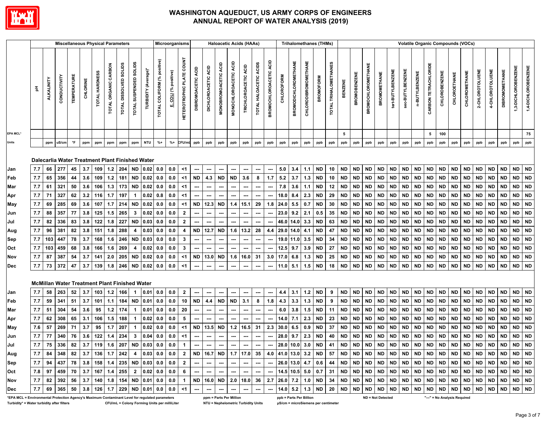

| <b>Miscellaneous Physical Parameters</b><br>Microorganisms<br><b>Haloacetic Acids (HAAs)</b><br><b>Trihalomethanes (THMs)</b><br><b>Volatile Organic Compounds (VOCs)</b> |            |                   |                                                      |                     |            |                |                      |                        |                        |                                                 |                                 |                   |                                  |                          |                                 |                             |                          |                          |                        |                          |                   |                             |                      |                        |                       |                        |                        |                           |                        |                        |                        |                       |                        |                              |              |                         |                        |                        |                       |                   |                        |
|---------------------------------------------------------------------------------------------------------------------------------------------------------------------------|------------|-------------------|------------------------------------------------------|---------------------|------------|----------------|----------------------|------------------------|------------------------|-------------------------------------------------|---------------------------------|-------------------|----------------------------------|--------------------------|---------------------------------|-----------------------------|--------------------------|--------------------------|------------------------|--------------------------|-------------------|-----------------------------|----------------------|------------------------|-----------------------|------------------------|------------------------|---------------------------|------------------------|------------------------|------------------------|-----------------------|------------------------|------------------------------|--------------|-------------------------|------------------------|------------------------|-----------------------|-------------------|------------------------|
|                                                                                                                                                                           | 玉          | <b>ALKALINITY</b> | CONDUCTIVITY                                         | <b>TEMPERATURE</b>  | CHLORINE   | TOTAL HARDNESS | TOTAL ORGANIC CARBON | TOTAL DISSOLVED SOLIDS | TOTAL SUSPENDED SOLIDS | (Aver<br><b>TURBIDITY</b>                       | tive)<br>TOTAL COLIFORM (% posi | COLI (% positive) | <b>HETEROTROPHIC PLATE COUNT</b> | DIBROMOACETIC ACID       | DICHLOROACETIC ACID             | <b>MONOBROMOACETIC ACID</b> | MONOCHLOROACETIC ACID    | TRICHLOROACETIC ACID     | TOTAL HALOACETIC ACIDS | BROMOCHLOROACETIC ACID   | <b>CHLOROFORM</b> | <b>BROMODICHLOROMETHANE</b> | CHLORODIBROMOMETHANE | <b>BROMOFORM</b>       | TOTAL TRIHALOMETHANES | <b>BENZENE</b>         | <b>BROMOBENZENE</b>    | <b>BROMOCHLOROMETHANE</b> | <b>BROMOMETHANE</b>    | tert-BUTYLBENZENE      | sec-BUTYLBENZENE       | n-BUTYLBENZENE        | CARBON TETRACHLORIDE   | CHLOROBENZENE                | CHLOROETHANE | CHLOROMETHANE           | 2-CHLOROTOLUENE        | 4-CHLOROTOLUENE        | <b>DIBROMOMETHANE</b> | 3-DICHLOROBENZENE | 1,4-DICHLOROBENZENE    |
| EPA MCL*                                                                                                                                                                  |            |                   |                                                      |                     |            |                |                      |                        |                        |                                                 |                                 |                   |                                  |                          |                                 |                             |                          |                          |                        |                          |                   |                             |                      |                        |                       | 5                      |                        |                           |                        |                        |                        |                       | 5                      | 100                          |              |                         |                        |                        |                       |                   | 75                     |
| Units                                                                                                                                                                     |            | ppm               | uS/cm                                                | $^\circ \mathsf{F}$ | ppm        | ppm            | ppm                  | ppm                    | ppm                    | <b>NTU</b>                                      | $% +$                           | $% +$             | CFU/mL                           | ppb                      | ppb                             | ppb                         | ppb                      | ppb                      | ppb                    | ppb                      | ppb               | ppb                         | ppb                  | ppb                    | ppb                   | ppb                    | ppb                    | ppb                       | ppb                    | ppb                    | ppb                    | ppb                   | ppb                    | ppb                          | ppb          | ppb                     | ppb                    | ppb                    | ppb                   | ppb               | ppb                    |
|                                                                                                                                                                           |            |                   | 277                                                  |                     |            |                |                      |                        |                        | Dalecarlia Water Treatment Plant Finished Water |                                 | 0.0               |                                  |                          |                                 |                             |                          |                          |                        |                          |                   |                             |                      |                        |                       |                        |                        |                           |                        |                        |                        |                       |                        |                              | <b>ND</b>    |                         |                        |                        | <b>ND</b>             | <b>ND</b>         |                        |
| Jan                                                                                                                                                                       | 7.7<br>7.7 | 66<br>65          | 356                                                  | 45<br>44            | 3.7<br>3.6 | 109<br>109     | $1.2$<br>$1.2$       | 204<br>181             | <b>ND</b><br><b>ND</b> | 0.02<br>0.02                                    | 0.0<br>0.0                      | 0.0               | $<$ 1<br>$<$ 1                   | ---<br><b>ND</b>         | ---                             | ---<br><b>ND</b>            | ---<br><b>ND</b>         | ---<br>3.6               | ---<br>8               | ---<br>1.7               | 5.0<br>5.2        | 3.4<br>3.7                  | 1.1<br>1.3           | <b>ND</b><br><b>ND</b> | 10<br>10              | <b>ND</b><br><b>ND</b> | <b>ND</b><br><b>ND</b> | <b>ND</b><br><b>ND</b>    | <b>ND</b><br><b>ND</b> | <b>ND</b><br><b>ND</b> | <b>ND</b><br><b>ND</b> | $\sf ND$<br><b>ND</b> | <b>ND</b><br><b>ND</b> | <b>ND</b><br><b>ND</b>       | <b>ND</b>    | ${\sf ND}$<br><b>ND</b> | <b>ND</b><br><b>ND</b> | <b>ND</b><br><b>ND</b> | <b>ND</b>             | <b>ND</b>         | <b>ND</b>              |
| Feb                                                                                                                                                                       | 7.7        | 61                | 321                                                  | 50                  | 3.6        | 106            | $1.3$                | 173                    |                        | ND 0.02                                         | 0.0                             | 0.0               | $<$ 1                            | $\hspace{0.05cm} \ldots$ | 4.3<br>$\overline{\phantom{a}}$ | ---                         | ---                      | $\hspace{0.05cm} \ldots$ | ---                    | $\overline{\phantom{a}}$ | 7.8               | 3.6                         | 1.1                  | <b>ND</b>              | 12                    | <b>ND</b>              | <b>ND</b>              | <b>ND</b>                 | <b>ND</b>              | <b>ND</b>              | <b>ND</b>              | <b>ND</b>             | <b>ND</b>              | <b>ND</b>                    | <b>ND</b>    | <b>ND</b>               | <b>ND</b>              | <b>ND</b>              | <b>ND</b>             | <b>ND</b>         | <b>ND</b><br><b>ND</b> |
| Mar<br>Apr                                                                                                                                                                | 7.7        | 71                | 327                                                  | 62                  | 3.2        | 116            | $1.7$                | 197                    | 1                      | 0.02                                            | 0.8                             | 0.0               | $\leq$ 1                         | ---                      |                                 | ---                         | ---                      | ---                      |                        | ---                      | 18.0              | 8.4                         | 2.3                  | <b>ND</b>              | 29                    | <b>ND</b>              | <b>ND</b>              | <b>ND</b>                 | <b>ND</b>              | <b>ND</b>              | <b>ND</b>              | <b>ND</b>             | <b>ND</b>              | <b>ND</b>                    | <b>ND</b>    | <b>ND</b>               | <b>ND</b>              | <b>ND</b>              | <b>ND</b>             | <b>ND</b>         | <b>ND</b>              |
| May                                                                                                                                                                       | 7.7        | 69                | 285                                                  | 69                  | 3.6        | 107            | 1.7                  | 214                    |                        | ND 0.02                                         | 0.0                             | $0.0\,$           | $<$ 1                            | <b>ND</b>                | ---<br>12.3                     | <b>ND</b>                   | 1.4                      | 15.1                     | ---<br>29              | 1.8                      | 24.0              | 5.5                         | 0.7                  | <b>ND</b>              | 30                    | <b>ND</b>              | <b>ND</b>              | <b>ND</b>                 | <b>ND</b>              | <b>ND</b>              | <b>ND</b>              | <b>ND</b>             | <b>ND</b>              | <b>ND</b>                    | <b>ND</b>    | <b>ND</b>               | <b>ND</b>              | <b>ND</b>              | <b>ND</b>             | <b>ND</b>         | <b>ND</b>              |
| Jun                                                                                                                                                                       | 7.7        | 88                | 357                                                  | 77                  | 3.8        | 125            | 1.5                  | 265                    |                        | 3   0.02                                        | 0.0                             | 0.0               | $\overline{2}$                   | ---                      | $\overline{\phantom{a}}$        | ---                         | ---                      | $\overline{\phantom{a}}$ | ---                    | $\overline{\phantom{a}}$ | 23.0              | 9.2                         | 2.1                  | 0.5                    | 35                    | <b>ND</b>              | <b>ND</b>              | <b>ND</b>                 | <b>ND</b>              | <b>ND</b>              | <b>ND</b>              | <b>ND</b>             | <b>ND</b>              | <b>ND</b>                    | <b>ND</b>    | <b>ND</b>               | <b>ND</b>              | <b>ND</b>              | <b>ND</b>             | <b>ND</b>         | <b>ND</b>              |
| Jul                                                                                                                                                                       | 7.7        | 82                | 336                                                  | 83                  | 3.8        | 122            | 1.8                  | 227                    | <b>ND</b>              | 0.03                                            | 0.0                             | $0.0\,$           | $\mathbf{2}$                     | ---                      |                                 | ---                         |                          |                          |                        | $\overline{\phantom{a}}$ | 46.0              | 14.0                        | 3.3                  | <b>ND</b>              | 63                    | <b>ND</b>              | <b>ND</b>              | <b>ND</b>                 | <b>ND</b>              | <b>ND</b>              | <b>ND</b>              | <b>ND</b>             | <b>ND</b>              | <b>ND</b>                    | <b>ND</b>    | <b>ND</b>               | <b>ND</b>              | <b>ND</b>              | <b>ND</b>             | <b>ND</b>         | <b>ND</b>              |
| Aug                                                                                                                                                                       | 7.7        | 96                | 381                                                  | 82                  | 3.8        | 151            | 1.8                  | 288                    | 4                      | 0.03                                            | 0.0                             | 0.0               | 4                                | <b>ND</b>                | 12.7                            | <b>ND</b>                   |                          | $1.6$ 13.2               | 28                     | 4.4                      | 29.0              | 14.0                        | 4.1                  | <b>ND</b>              | 47                    | <b>ND</b>              | <b>ND</b>              | <b>ND</b>                 | <b>ND</b>              | <b>ND</b>              | <b>ND</b>              | <b>ND</b>             | <b>ND</b>              | <b>ND</b>                    | <b>ND</b>    | <b>ND</b>               | <b>ND</b>              | <b>ND</b>              | <b>ND</b>             | <b>ND</b>         | <b>ND</b>              |
| Sep                                                                                                                                                                       | 7.7        | 103               | 447                                                  | 78                  | 3.7        | 168            | 1.6                  | 246                    |                        | ND 0.03                                         | 0.0                             | 0.0               | $\mathbf{3}$                     | ---                      | ---                             | ---                         | ---                      | $\overline{\phantom{a}}$ | ---                    | ---                      | 19.0              | 11.0                        | 3.5                  | <b>ND</b>              | 34                    | <b>ND</b>              | <b>ND</b>              | <b>ND</b>                 | <b>ND</b>              | <b>ND</b>              | <b>ND</b>              | <b>ND</b>             | <b>ND</b>              | <b>ND</b>                    | <b>ND</b>    | <b>ND</b>               | <b>ND</b>              | <b>ND</b>              | <b>ND</b>             | <b>ND</b>         | <b>ND</b>              |
| Oct                                                                                                                                                                       | 7.7        | 103               | 459                                                  | 68                  | 3.8        | 166            | 1.6                  | 269                    | 4                      | 0.02                                            | 0.0                             | $0.0\,$           | $\mathbf{3}$                     | ---                      | $\overline{\phantom{a}}$        | ---                         | ---                      | ---                      | ---                    | ---                      | 12.5              | 9.7                         | 3.9                  | <b>ND</b>              | 27                    | <b>ND</b>              | <b>ND</b>              | <b>ND</b>                 | <b>ND</b>              | <b>ND</b>              | <b>ND</b>              | <b>ND</b>             | <b>ND</b>              | <b>ND</b>                    | <b>ND</b>    | <b>ND</b>               | <b>ND</b>              | <b>ND</b>              | <b>ND</b>             | <b>ND</b>         | <b>ND</b>              |
| Nov                                                                                                                                                                       | 7.7        | 87                | 387                                                  | 54                  | 3.7        | 141            | 2.0                  | 205                    | <b>ND</b>              | 0.02                                            | 0.0                             | $0.0\,$           | $<$ 1                            | <b>ND</b>                | 13.0                            | <b>ND</b>                   | 1.6                      | 16.0                     | 31                     | 3.0                      | 17.0              | 6.8                         | 1.3                  | <b>ND</b>              | 25                    | <b>ND</b>              | <b>ND</b>              | <b>ND</b>                 | <b>ND</b>              | <b>ND</b>              | <b>ND</b>              | <b>ND</b>             | <b>ND</b>              | <b>ND</b>                    | <b>ND</b>    | <b>ND</b>               | <b>ND</b>              | <b>ND</b>              | <b>ND</b>             | <b>ND</b>         | <b>ND</b>              |
| Dec                                                                                                                                                                       | 7.7        | 73                | 372                                                  | 47                  | 3.7        | 139            | 1.8                  | 246                    |                        | ND 0.02                                         | 0.0                             | 0.0               | $<$ 1                            | $\hspace{0.05cm} \ldots$ | $\overline{\phantom{a}}$        | ---                         | ---                      | $\overline{\phantom{a}}$ | ---                    | $\overline{\phantom{a}}$ |                   | $11.0$ 5.1                  | 1.5                  | <b>ND</b>              | 18                    | <b>ND</b>              | <b>ND</b>              | <b>ND</b>                 | <b>ND</b>              | <b>ND</b>              | <b>ND</b>              | <b>ND</b>             | <b>ND</b>              | <b>ND</b>                    | <b>ND</b>    | <b>ND</b>               | <b>ND</b>              | <b>ND</b>              | <b>ND</b>             | <b>ND</b>         | <b>ND</b>              |
|                                                                                                                                                                           |            |                   | <b>McMillan Water Treatment Plant Finished Water</b> |                     |            |                |                      |                        |                        |                                                 |                                 |                   |                                  |                          |                                 |                             |                          |                          |                        |                          |                   |                             |                      |                        |                       |                        |                        |                           |                        |                        |                        |                       |                        |                              |              |                         |                        |                        |                       |                   |                        |
| Jan                                                                                                                                                                       | 7.7        | 58                | 263                                                  | 52                  | 3.7        | 103            | $1.2$                | 166                    |                        | 0.01                                            | $0.0\,$                         | 0.0               | $\mathbf{2}$                     |                          | ---                             | ---                         | ---                      | $\overline{a}$           | ---                    | $\hspace{0.05cm} \cdots$ | 4.4               | 3.1                         | $1.2$                | <b>ND</b>              | 9                     | <b>ND</b>              | <b>ND</b>              | <b>ND</b>                 | <b>ND</b>              | <b>ND</b>              | <b>ND</b>              | <b>ND</b>             | <b>ND</b>              | <b>ND</b>                    | <b>ND</b>    | <b>ND</b>               | <b>ND</b>              | <b>ND</b>              | <b>ND</b>             | <b>ND</b>         | <b>ND</b>              |
| Feb                                                                                                                                                                       | 7.7        | 59                | 341                                                  | 51                  | 3.7        | 101            | 1.1                  | 184                    | <b>ND</b>              | 0.01                                            | 0.0                             | 0.0               | 10                               | <b>ND</b>                | 4.4                             | <b>ND</b>                   | <b>ND</b>                | 3.1                      | 8                      | 1.8                      | 4.3               | 3.3                         | 1.3                  | <b>ND</b>              | 9                     | <b>ND</b>              | <b>ND</b>              | <b>ND</b>                 | <b>ND</b>              | <b>ND</b>              | <b>ND</b>              | <b>ND</b>             | <b>ND</b>              | <b>ND</b>                    | <b>ND</b>    | <b>ND</b>               | <b>ND</b>              | <b>ND</b>              | <b>ND</b>             | <b>ND</b>         | <b>ND</b>              |
| Mar                                                                                                                                                                       | 7.7        | 51                | 304                                                  | 54                  | 3.6        | 95             | $1.2$                | 174                    | 1                      | 0.01                                            | 0.0                             | 0.0               | 20                               | ---                      | $\overline{\phantom{a}}$        | ---                         | ---                      | ---                      | ---                    | $\overline{\phantom{a}}$ | 6.0               | 3.8                         | 1.5                  | <b>ND</b>              | 11                    | <b>ND</b>              | <b>ND</b>              | <b>ND</b>                 | <b>ND</b>              | <b>ND</b>              | <b>ND</b>              | <b>ND</b>             | <b>ND</b>              | <b>ND</b>                    | <b>ND</b>    | <b>ND</b>               | <b>ND</b>              | <b>ND</b>              | <b>ND</b>             | <b>ND</b>         | <b>ND</b>              |
| Apr                                                                                                                                                                       | 7.7        | 62                | 308                                                  | 65                  | 3.1        | 106            | 1.5                  | 188                    | $\mathbf{1}$           | 0.02                                            | 0.0                             | 0.0               | 5                                |                          |                                 | ---                         |                          |                          |                        | ---                      | 14.0              | 7.1                         | 2.3                  | <b>ND</b>              | 23                    | <b>ND</b>              | <b>ND</b>              | <b>ND</b>                 | <b>ND</b>              | <b>ND</b>              | <b>ND</b>              | <b>ND</b>             | <b>ND</b>              | <b>ND</b>                    | <b>ND</b>    | <b>ND</b>               | <b>ND</b>              | <b>ND</b>              | <b>ND</b>             | <b>ND</b>         | <b>ND</b>              |
| May                                                                                                                                                                       | 7.6        | 57                | 269                                                  | 71                  | 3.7        | 95             | 1.7                  | 207                    | 1                      | 0.02                                            | 0.0                             | $0.0\,$           | $<$ 1                            | <b>ND</b>                | 13.5                            | <b>ND</b>                   |                          | $1.2$ 16.5               | 31                     | 2.3                      | 30.0              | 6.5                         | 0.9                  | <b>ND</b>              | 37                    | <b>ND</b>              | <b>ND</b>              | <b>ND</b>                 | <b>ND</b>              | <b>ND</b>              | <b>ND</b>              | <b>ND</b>             | <b>ND</b>              | <b>ND</b>                    | <b>ND</b>    | <b>ND</b>               | <b>ND</b>              | <b>ND</b>              | <b>ND</b>             | <b>ND</b>         | <b>ND</b>              |
| Jun                                                                                                                                                                       | 7.7        | 77                | 340                                                  | 76                  | 3.6        | 122            | 1.4                  | 234                    | $\mathbf{3}$           | 0.04                                            | 0.0                             | 0.0               | $<$ 1                            | ---                      | ---                             | ---                         | ---                      | $\overline{\phantom{a}}$ | ---                    | ---                      | 28.0              | 9.7                         | 2.3                  | <b>ND</b>              | 40                    | <b>ND</b>              | <b>ND</b>              | <b>ND</b>                 | <b>ND</b>              | <b>ND</b>              | <b>ND</b>              | <b>ND</b>             | <b>ND</b>              | <b>ND</b>                    | <b>ND</b>    | <b>ND</b>               | <b>ND</b>              | <b>ND</b>              | <b>ND</b>             | <b>ND</b>         | <b>ND</b>              |
| Jul                                                                                                                                                                       | 7.7        | 75                | 336                                                  | 82                  | 3.7        | 119            | 1.6                  | 207                    |                        | ND 0.03                                         | 0.0                             | 0.0               | $\mathbf{1}$                     | $\overline{a}$           | ---                             | ---                         | ---                      | $\overline{a}$           | ---                    | ---                      | 28.0              | 10.0                        | 3.0                  | <b>ND</b>              | 41                    | <b>ND</b>              | <b>ND</b>              | <b>ND</b>                 | <b>ND</b>              | <b>ND</b>              | <b>ND</b>              | <b>ND</b>             | <b>ND</b>              | <b>ND</b>                    | <b>ND</b>    | <b>ND</b>               | <b>ND</b>              | <b>ND</b>              | <b>ND</b>             | <b>ND</b>         | <b>ND</b>              |
| Aug                                                                                                                                                                       | 7.7        | 84                | 348                                                  | 82                  | 3.7        | 136            | 1.7                  | 242                    | 4                      | 0.03                                            | 0.0                             | $0.0\,$           | $\mathbf{2}$                     | <b>ND</b>                | 16.7                            | <b>ND</b>                   | 1.7                      | 17.0                     | 35                     | 4.0                      | 41.0              | 13.0                        | 3.2                  | <b>ND</b>              | 57                    | <b>ND</b>              | <b>ND</b>              | <b>ND</b>                 | <b>ND</b>              | <b>ND</b>              | <b>ND</b>              | <b>ND</b>             | <b>ND</b>              | <b>ND</b>                    | <b>ND</b>    | <b>ND</b>               | <b>ND</b>              | <b>ND</b>              | <b>ND</b>             | <b>ND</b>         | <b>ND</b>              |
| Sep                                                                                                                                                                       | 7.7        | 94                | 437                                                  | 78                  | 3.8        | 158            | 1.4                  | 235                    |                        | ND 0.03                                         | 0.0                             | 0.0               | $\mathbf{2}$                     | $\overline{a}$           | $\overline{\phantom{a}}$        | $\overline{a}$              | ---                      | $\overline{\phantom{a}}$ | ---                    | $\overline{\phantom{a}}$ |                   | 26.0 13.0                   | 4.7                  | 0.6                    | 44                    | <b>ND</b>              | <b>ND</b>              | <b>ND</b>                 | <b>ND</b>              | <b>ND</b>              | <b>ND</b>              | <b>ND</b>             | <b>ND</b>              | <b>ND</b>                    | <b>ND</b>    | <b>ND</b>               | <b>ND</b>              | <b>ND</b>              | <b>ND</b>             | <b>ND</b>         | <b>ND</b>              |
| Oct                                                                                                                                                                       | 7.8        | 97                | 459                                                  | 70                  | 3.7        | 167            | 1.4                  | 255                    |                        | $2 \mid 0.02$                                   | 0.0                             | $0.0\,$           | 6                                |                          | $\overline{\phantom{a}}$        | ---                         | ---                      | ---                      | ---                    | ---                      |                   | 14.5 10.5                   | 5.0                  | 0.7                    | 31                    | <b>ND</b>              | <b>ND</b>              | <b>ND</b>                 | <b>ND</b>              | <b>ND</b>              | <b>ND</b>              | <b>ND</b>             | <b>ND</b>              | <b>ND</b>                    | <b>ND</b>    | <b>ND</b>               | <b>ND</b>              | <b>ND</b>              | <b>ND</b>             | <b>ND</b>         | <b>ND</b>              |
| Nov                                                                                                                                                                       | 7.7        | 82                | 392                                                  | 56                  | 3.7        | 140            | 1.8                  | 154                    | <b>ND</b>              | 0.01                                            | 0.0                             | $0.0\,$           | $\mathbf{1}$                     | <b>ND</b>                | 16.0                            | <b>ND</b>                   | 2.0                      | 18.0                     | 36                     | 2.7                      | 26.0              | 7.2                         | 1.0                  | <b>ND</b>              | 34                    | <b>ND</b>              | <b>ND</b>              | <b>ND</b>                 | <b>ND</b>              | <b>ND</b>              | <b>ND</b>              | <b>ND</b>             | <b>ND</b>              | <b>ND</b>                    | <b>ND</b>    | <b>ND</b>               | <b>ND</b>              | <b>ND</b>              | <b>ND</b>             | <b>ND</b>         | <b>ND</b>              |
| <b>Dec</b>                                                                                                                                                                | 7.7        | 69                | 365                                                  | 50                  |            | $3.8$   126    | 1.7                  | 229                    |                        | ND 0.01                                         | 0.0                             | 0.0               | $<$ 1                            | $\overline{a}$           | $\overline{\phantom{a}}$        | $\overline{a}$              | $\overline{\phantom{a}}$ | $\overline{a}$           | ---                    | $\overline{a}$           | 14.0              | 5.2                         | 1.3                  | <b>ND</b>              | 20                    | <b>ND</b>              | <b>ND</b>              | <b>ND</b>                 | <b>ND</b>              | ND                     | <b>ND</b>              | <b>ND</b>             | <b>ND</b>              | <b>ND</b>                    | <b>ND</b>    | <b>ND</b>               | <b>ND</b>              | <b>ND</b>              | <b>ND</b>             | <b>ND</b>         | ND                     |
| *EPA MCL = Environmental Protection Agency's Maximum Contaminant Level for regulated parameters                                                                           |            |                   |                                                      |                     |            |                |                      |                        |                        |                                                 |                                 |                   |                                  |                          |                                 |                             | ppm = Parts Per Million  |                          |                        |                          |                   | ppb = Parts Per Billion     |                      |                        |                       |                        |                        |                           | ND = Not Detected      |                        |                        |                       |                        | "---" = No Analysis Required |              |                         |                        |                        |                       |                   |                        |

**Turbidity\* = Water turbidity after filters CFU/mL = Colony Forming Units per milliLiter NTU = Nephelometric Turbidity Units μS/cm = microSiemens per centimeter**

Page 3 of 7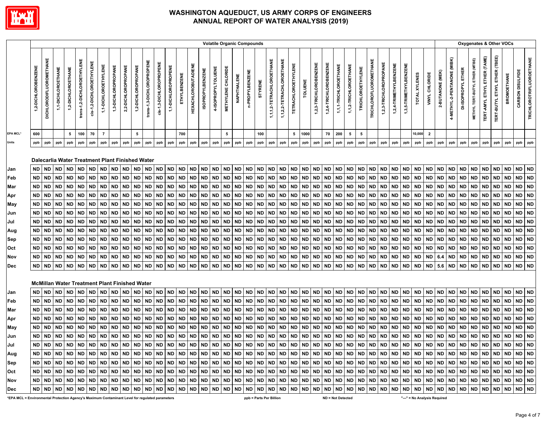

|          |                     |                                |                    |                    |                            |                          |                      |                                                      |                     |                     |                           |                         |                     |              |                            |                         |                    |                    | <b>Volatile Organic Compounds</b> |                 |                |                           |                           |                            |           |                        |                        |                       |                       |                          |                        |                        |                        |                        |               |                |                  |                                 |                    |                                | Oxygenates & Other VOCs             |                              |                    |                  |                                 |
|----------|---------------------|--------------------------------|--------------------|--------------------|----------------------------|--------------------------|----------------------|------------------------------------------------------|---------------------|---------------------|---------------------------|-------------------------|---------------------|--------------|----------------------------|-------------------------|--------------------|--------------------|-----------------------------------|-----------------|----------------|---------------------------|---------------------------|----------------------------|-----------|------------------------|------------------------|-----------------------|-----------------------|--------------------------|------------------------|------------------------|------------------------|------------------------|---------------|----------------|------------------|---------------------------------|--------------------|--------------------------------|-------------------------------------|------------------------------|--------------------|------------------|---------------------------------|
|          | 1,2-DICHLOROBENZENE | <b>DICHLORODIFLUOROMETHANE</b> | 1,1-DICHLOROETHANE | 1,2-DICHLOROETHANE | trans-1,2-DICHLOROETHYLENE | cis-1,2-DICHLOROETHYLENE | 1,1-DICHLOROETHYLENE | 1,3-DICHLOROPROPANE                                  | 2,2-DICHLOROPROPANE | 1,2-DICHLOROPROPANE | trans-1,3-DICHLOROPROPENE | cis-1,3-DICHLOROPROPENE | 1,1-DICHLOROPROPENE | ETHYLBENZENE | <b>HEXACHLOROBUTADIENE</b> | <b>ISOPROPYLBENZENE</b> | 4-ISOPROPYLTOLUENE | METHYLENE CHLORIDE | NAPHTHALENE                       | n-PROPYLBENZENE | <b>STYRENE</b> | 1,1,1,2-TETRACHLOROETHANE | 1,1,2,2-TETRACHLOROETHANE | <b>TETRACHLOROETHYLENE</b> |           | 1,2,3-TRICHLOROBENZENE | 1,2,4-TRICHLOROBENZENE | 1,1,1-TRICHLOROETHANE | 1,1,2-TRICHLOROETHANE | <b>TRICHLOROETHYLENE</b> | TRICHLOROFLUOROMETHANE | 1,2,3-TRICHLOROPROPANE | 1,2,4-TRIMETHYLBENZENE | 1,3,5-TRIMETHYLBENZENE | TOTAL XYLENES | VINYL CHLORIDE | 2-BUTANONE (MEK) | ВK)<br>4-METHYL-2-PENTANONE (MI | DI-ISOPROPYL ETHER | METHYL TERT-BUTYL ETHER (MTBE) | <b>TERT-AMYL ETHYL ETHER (TAME)</b> | ERT-BUTYL ETHYL ETHER (TBEE) | <b>BROMOETHANE</b> | CARBON DISULFIDE | <b>TRICHLOROTRIFLUOROETHANE</b> |
| EPA MCL' | 600                 |                                |                    | 5                  | 100                        | 70                       | $\overline{7}$       |                                                      |                     | 5                   |                           |                         |                     | 700          |                            |                         |                    | 5                  |                                   |                 | 100            |                           |                           | 5                          | 1000      |                        | 70                     | 200                   | 5                     | 5                        |                        |                        |                        |                        | 10,000        | $\overline{2}$ |                  |                                 |                    |                                |                                     |                              |                    |                  |                                 |
| Units    | ppb                 | ppb                            | ppb                | ppb                | ppb                        | ppb                      | ppb                  | ppb                                                  | ppb                 | ppb                 | ppb                       | ppb                     | ppb                 | ppb          | ppb                        | ppb                     | ppb                | ppb                | ppb                               | ppb             | ppb            | ppb                       | ppb                       | ppb                        | ppb       | ppb                    | ppb                    | ppb                   | ppb                   | ppb                      | ppb                    | ppb                    | ppb                    | ppb                    | ppb           | ppb            | ppb              | ppb                             | ppb                | ppb                            | ppb                                 | ppb                          | ppb                | ppb              | ppb                             |
|          |                     |                                |                    |                    |                            |                          |                      |                                                      |                     |                     |                           |                         |                     |              |                            |                         |                    |                    |                                   |                 |                |                           |                           |                            |           |                        |                        |                       |                       |                          |                        |                        |                        |                        |               |                |                  |                                 |                    |                                |                                     |                              |                    |                  |                                 |
|          |                     |                                |                    |                    |                            |                          |                      | Dalecarlia Water Treatment Plant Finished Water      |                     |                     |                           |                         |                     |              |                            |                         |                    |                    |                                   |                 |                |                           |                           |                            |           |                        |                        |                       |                       |                          |                        |                        |                        |                        |               |                |                  |                                 |                    |                                |                                     |                              |                    |                  |                                 |
| Jan      | <b>ND</b>           | <b>ND</b>                      | <b>ND</b>          | <b>ND</b>          | <b>ND</b>                  | <b>ND</b>                | <b>ND</b>            | <b>ND</b>                                            | <b>ND</b>           | <b>ND</b>           | <b>ND</b>                 | <b>ND</b>               | <b>ND</b>           | <b>ND</b>    | <b>ND</b>                  | <b>ND</b>               | <b>ND</b>          | <b>ND</b>          | <b>ND</b>                         | <b>ND</b>       | <b>ND</b>      | <b>ND</b>                 | <b>ND</b>                 | <b>ND</b>                  | ND        | <b>ND</b>              | <b>ND</b>              | <b>ND</b>             | <b>ND</b>             | <b>ND</b>                | <b>ND</b>              | <b>ND</b>              | <b>ND</b>              | <b>ND</b>              | <b>ND</b>     | <b>ND</b>      | <b>ND</b>        | <b>ND</b>                       | <b>ND</b>          | <b>ND</b>                      | <b>ND</b>                           | <b>ND</b>                    | <b>ND</b>          | <b>ND</b>        | <b>ND</b>                       |
| Feb      | <b>ND</b>           | <b>ND</b>                      | <b>ND</b>          | <b>ND</b>          | <b>ND</b>                  | <b>ND</b>                | <b>ND</b>            | <b>ND</b>                                            | <b>ND</b>           | <b>ND</b>           | <b>ND</b>                 | <b>ND</b>               | <b>ND</b>           | <b>ND</b>    | <b>ND</b>                  | <b>ND</b>               | <b>ND</b>          | <b>ND</b>          | <b>ND</b>                         | <b>ND</b>       | <b>ND</b>      | <b>ND</b>                 | <b>ND</b>                 | <b>ND</b>                  | <b>ND</b> | <b>ND</b>              | <b>ND</b>              | <b>ND</b>             | <b>ND</b>             | <b>ND</b>                | <b>ND</b>              | <b>ND</b>              | <b>ND</b>              | <b>ND</b>              | <b>ND</b>     | <b>ND</b>      | <b>ND</b>        | <b>ND</b>                       | <b>ND</b>          | <b>ND</b>                      | <b>ND</b>                           | <b>ND</b>                    | <b>ND</b>          | <b>ND</b>        | <b>ND</b>                       |
| Mar      | <b>ND</b>           | <b>ND</b>                      | <b>ND</b>          | <b>ND</b>          | <b>ND</b>                  | <b>ND</b>                | <b>ND</b>            | <b>ND</b>                                            | <b>ND</b>           | <b>ND</b>           | <b>ND</b>                 | <b>ND</b>               | <b>ND</b>           | <b>ND</b>    | <b>ND</b>                  | <b>ND</b>               | <b>ND</b>          | <b>ND</b>          | <b>ND</b>                         | <b>ND</b>       | <b>ND</b>      | <b>ND</b>                 | <b>ND</b>                 | <b>ND</b>                  | <b>ND</b> | <b>ND</b>              | <b>ND</b>              | <b>ND</b>             | <b>ND</b>             | <b>ND</b>                | <b>ND</b>              | <b>ND</b>              | <b>ND</b>              | <b>ND</b>              | <b>ND</b>     | <b>ND</b>      | <b>ND</b>        | <b>ND</b>                       | <b>ND</b>          | <b>ND</b>                      | <b>ND</b>                           | <b>ND</b>                    | <b>ND</b>          | <b>ND</b>        | $\mathsf{ND}$                   |
| Apr      | <b>ND</b>           | <b>ND</b>                      | ND                 | <b>ND</b>          | <b>ND</b>                  | <b>ND</b>                | <b>ND</b>            | <b>ND</b>                                            | <b>ND</b>           | <b>ND</b>           | <b>ND</b>                 | <b>ND</b>               | <b>ND</b>           | <b>ND</b>    | <b>ND</b>                  | <b>ND</b>               | <b>ND</b>          | <b>ND</b>          | <b>ND</b>                         | <b>ND</b>       | <b>ND</b>      | <b>ND</b>                 | <b>ND</b>                 | <b>ND</b>                  | <b>ND</b> | <b>ND</b>              | <b>ND</b>              | <b>ND</b>             | <b>ND</b>             | <b>ND</b>                | <b>ND</b>              | <b>ND</b>              | <b>ND</b>              | <b>ND</b>              | <b>ND</b>     | <b>ND</b>      | <b>ND</b>        | <b>ND</b>                       | <b>ND</b>          | <b>ND</b>                      | <b>ND</b>                           | <b>ND</b>                    | <b>ND</b>          | <b>ND</b>        | <b>ND</b>                       |
| May      | <b>ND</b>           | <b>ND</b>                      | <b>ND</b>          | <b>ND</b>          | <b>ND</b>                  | <b>ND</b>                | <b>ND</b>            | <b>ND</b>                                            | <b>ND</b>           | <b>ND</b>           | <b>ND</b>                 | <b>ND</b>               | <b>ND</b>           | <b>ND</b>    | <b>ND</b>                  | <b>ND</b>               | <b>ND</b>          | <b>ND</b>          | <b>ND</b>                         | <b>ND</b>       | <b>ND</b>      | <b>ND</b>                 | <b>ND</b>                 | <b>ND</b>                  | <b>ND</b> | <b>ND</b>              | <b>ND</b>              | <b>ND</b>             | <b>ND</b>             | <b>ND</b>                | <b>ND</b>              | <b>ND</b>              | <b>ND</b>              | <b>ND</b>              | <b>ND</b>     | <b>ND</b>      | <b>ND</b>        | <b>ND</b>                       | <b>ND</b>          | <b>ND</b>                      | <b>ND</b>                           | <b>ND</b>                    | <b>ND</b>          | <b>ND</b>        | <b>ND</b>                       |
| Jun      | <b>ND</b>           | <b>ND</b>                      | <b>ND</b>          | <b>ND</b>          | <b>ND</b>                  | <b>ND</b>                | <b>ND</b>            | <b>ND</b>                                            | <b>ND</b>           | <b>ND</b>           | <b>ND</b>                 | <b>ND</b>               | ND                  | <b>ND</b>    | <b>ND</b>                  | <b>ND</b>               | <b>ND</b>          | <b>ND</b>          | <b>ND</b>                         | <b>ND</b>       | <b>ND</b>      | <b>ND</b>                 | <b>ND</b>                 | <b>ND</b>                  | ND        | <b>ND</b>              | <b>ND</b>              | <b>ND</b>             | <b>ND</b>             | <b>ND</b>                | <b>ND</b>              | <b>ND</b>              | <b>ND</b>              | <b>ND</b>              | <b>ND</b>     | <b>ND</b>      | <b>ND</b>        | <b>ND</b>                       | <b>ND</b>          | <b>ND</b>                      | <b>ND</b>                           | <b>ND</b>                    | <b>ND</b>          | <b>ND</b>        | <b>ND</b>                       |
| Jul      | <b>ND</b>           | <b>ND</b>                      | <b>ND</b>          | <b>ND</b>          | <b>ND</b>                  | <b>ND</b>                | <b>ND</b>            | <b>ND</b>                                            | <b>ND</b>           | <b>ND</b>           | <b>ND</b>                 | <b>ND</b>               | <b>ND</b>           | <b>ND</b>    | <b>ND</b>                  | <b>ND</b>               | <b>ND</b>          | <b>ND</b>          | <b>ND</b>                         | <b>ND</b>       | <b>ND</b>      | <b>ND</b>                 | <b>ND</b>                 | <b>ND</b>                  | <b>ND</b> | <b>ND</b>              | <b>ND</b>              | <b>ND</b>             | <b>ND</b>             | <b>ND</b>                | <b>ND</b>              | <b>ND</b>              | <b>ND</b>              | <b>ND</b>              | <b>ND</b>     | <b>ND</b>      | <b>ND</b>        | <b>ND</b>                       | <b>ND</b>          | <b>ND</b>                      | <b>ND</b>                           | <b>ND</b>                    | <b>ND</b>          | <b>ND</b>        | <b>ND</b>                       |
| Aug      | <b>ND</b>           | <b>ND</b>                      | <b>ND</b>          | <b>ND</b>          | <b>ND</b>                  | <b>ND</b>                | <b>ND</b>            | <b>ND</b>                                            | <b>ND</b>           | <b>ND</b>           | <b>ND</b>                 | <b>ND</b>               | <b>ND</b>           | <b>ND</b>    | <b>ND</b>                  | <b>ND</b>               | <b>ND</b>          | <b>ND</b>          | <b>ND</b>                         | <b>ND</b>       | <b>ND</b>      | <b>ND</b>                 | <b>ND</b>                 | <b>ND</b>                  | <b>ND</b> | <b>ND</b>              | <b>ND</b>              | <b>ND</b>             | <b>ND</b>             | <b>ND</b>                | <b>ND</b>              | <b>ND</b>              | <b>ND</b>              | <b>ND</b>              | <b>ND</b>     | <b>ND</b>      | <b>ND</b>        | <b>ND</b>                       | <b>ND</b>          | <b>ND</b>                      | <b>ND</b>                           | <b>ND</b>                    | <b>ND</b>          | <b>ND</b>        | $\sf ND$                        |
| Sep      | <b>ND</b>           | <b>ND</b>                      | <b>ND</b>          | <b>ND</b>          | <b>ND</b>                  | <b>ND</b>                | <b>ND</b>            | <b>ND</b>                                            | <b>ND</b>           | <b>ND</b>           | <b>ND</b>                 | <b>ND</b>               | <b>ND</b>           | <b>ND</b>    | <b>ND</b>                  | <b>ND</b>               | <b>ND</b>          | <b>ND</b>          | <b>ND</b>                         | <b>ND</b>       | <b>ND</b>      | <b>ND</b>                 | <b>ND</b>                 | <b>ND</b>                  | <b>ND</b> | <b>ND</b>              | <b>ND</b>              | <b>ND</b>             | <b>ND</b>             | <b>ND</b>                | <b>ND</b>              | <b>ND</b>              | <b>ND</b>              | <b>ND</b>              | <b>ND</b>     | <b>ND</b>      | <b>ND</b>        | <b>ND</b>                       | <b>ND</b>          | <b>ND</b>                      | <b>ND</b>                           | <b>ND</b>                    | <b>ND</b>          | <b>ND</b>        | <b>ND</b>                       |
| Oct      | <b>ND</b>           | <b>ND</b>                      | ND                 | <b>ND</b>          | <b>ND</b>                  | <b>ND</b>                | <b>ND</b>            | <b>ND</b>                                            | <b>ND</b>           | ND                  | <b>ND</b>                 | <b>ND</b>               | <b>ND</b>           | <b>ND</b>    | <b>ND</b>                  | <b>ND</b>               | <b>ND</b>          | <b>ND</b>          | <b>ND</b>                         | <b>ND</b>       | <b>ND</b>      | <b>ND</b>                 | <b>ND</b>                 | <b>ND</b>                  | <b>ND</b> | <b>ND</b>              | ND                     | <b>ND</b>             | <b>ND</b>             | <b>ND</b>                | <b>ND</b>              | <b>ND</b>              | <b>ND</b>              | ND                     | <b>ND</b>     | <b>ND</b>      | <b>ND</b>        | <b>ND</b>                       | <b>ND</b>          | <b>ND</b>                      | <b>ND</b>                           | <b>ND</b>                    | <b>ND</b>          | <b>ND</b>        | <b>ND</b>                       |
| Nov      | <b>ND</b>           | <b>ND</b>                      | <b>ND</b>          | <b>ND</b>          | <b>ND</b>                  | <b>ND</b>                | <b>ND</b>            | <b>ND</b>                                            | <b>ND</b>           | <b>ND</b>           | <b>ND</b>                 | <b>ND</b>               | <b>ND</b>           | <b>ND</b>    | <b>ND</b>                  | <b>ND</b>               | <b>ND</b>          | <b>ND</b>          | <b>ND</b>                         | <b>ND</b>       | <b>ND</b>      | <b>ND</b>                 | <b>ND</b>                 | <b>ND</b>                  | <b>ND</b> | <b>ND</b>              | <b>ND</b>              | <b>ND</b>             | <b>ND</b>             | <b>ND</b>                | <b>ND</b>              | <b>ND</b>              | <b>ND</b>              | <b>ND</b>              | <b>ND</b>     | <b>ND</b>      | 6.4              | <b>ND</b>                       | <b>ND</b>          | <b>ND</b>                      | <b>ND</b>                           | <b>ND</b>                    | <b>ND</b>          | <b>ND</b>        | <b>ND</b>                       |
| Dec      | <b>ND</b>           | <b>ND</b>                      | <b>ND</b>          | <b>ND</b>          | <b>ND</b>                  | <b>ND</b>                | <b>ND</b>            | <b>ND</b>                                            | <b>ND</b>           | <b>ND</b>           | ND                        | <b>ND</b>               |                     | ND ND ND     |                            | <b>ND</b>               | <b>ND</b>          | <b>ND</b>          | <b>ND</b>                         | <b>ND</b>       | <b>ND</b>      | <b>ND</b>                 | <b>ND</b>                 | <b>ND</b>                  | ND ND     |                        | <b>ND</b>              | ND ND                 |                       | <b>ND</b>                | <b>ND</b>              | <b>ND</b>              | $\sf ND$               | <b>ND</b>              | <b>ND</b>     | ND 5.6         |                  | <b>ND</b>                       | <b>ND</b>          | <b>ND</b>                      | <b>ND</b>                           | <b>ND</b>                    | $\mathsf{ND}$      | <b>ND</b>        | <b>ND</b>                       |
|          |                     |                                |                    |                    |                            |                          |                      |                                                      |                     |                     |                           |                         |                     |              |                            |                         |                    |                    |                                   |                 |                |                           |                           |                            |           |                        |                        |                       |                       |                          |                        |                        |                        |                        |               |                |                  |                                 |                    |                                |                                     |                              |                    |                  |                                 |
|          |                     |                                |                    |                    |                            |                          |                      | <b>McMillan Water Treatment Plant Finished Water</b> |                     |                     |                           |                         |                     |              |                            |                         |                    |                    |                                   |                 |                |                           |                           |                            |           |                        |                        |                       |                       |                          |                        |                        |                        |                        |               |                |                  |                                 |                    |                                |                                     |                              |                    |                  |                                 |
| Jan      | <b>ND</b>           | <b>ND</b>                      | <b>ND</b>          | <b>ND</b>          | <b>ND</b>                  | ND                       | <b>ND</b>            | ND ND                                                |                     | <b>ND</b>           | ND                        | <b>ND</b>               |                     | ND ND        | <b>ND</b>                  | <b>ND</b>               | <b>ND</b>          | <b>ND</b>          | <b>ND</b>                         | <b>ND</b>       | <b>ND</b>      | <b>ND</b>                 | <b>ND</b>                 | <b>ND</b>                  | ND ND     |                        | <b>ND</b>              | ND ND                 |                       | ND ND                    |                        | <b>ND</b>              | <b>ND</b>              | <b>ND</b>              | ND            | <b>ND</b>      | <b>ND</b>        | <b>ND</b>                       | <b>ND</b>          | <b>ND</b>                      | <b>ND</b>                           | <b>ND</b>                    | <b>ND</b>          | ND               | <b>ND</b>                       |
| Feb      | <b>ND</b>           | <b>ND</b>                      | <b>ND</b>          | <b>ND</b>          | <b>ND</b>                  | <b>ND</b>                | <b>ND</b>            | <b>ND</b>                                            | <b>ND</b>           | <b>ND</b>           | <b>ND</b>                 | <b>ND</b>               | <b>ND</b>           | <b>ND</b>    | <b>ND</b>                  | <b>ND</b>               | <b>ND</b>          | <b>ND</b>          | <b>ND</b>                         | <b>ND</b>       | <b>ND</b>      | <b>ND</b>                 | <b>ND</b>                 | <b>ND</b>                  | <b>ND</b> | <b>ND</b>              | <b>ND</b>              | <b>ND</b>             | <b>ND</b>             | <b>ND</b>                | <b>ND</b>              | <b>ND</b>              | <b>ND</b>              | <b>ND</b>              | <b>ND</b>     | <b>ND</b>      | <b>ND</b>        | <b>ND</b>                       | <b>ND</b>          | <b>ND</b>                      | <b>ND</b>                           | <b>ND</b>                    | <b>ND</b>          | <b>ND</b>        | N <sub>D</sub>                  |
| Mar      | <b>ND</b>           | <b>ND</b>                      | <b>ND</b>          | <b>ND</b>          | <b>ND</b>                  | <b>ND</b>                | <b>ND</b>            | <b>ND</b>                                            | <b>ND</b>           | <b>ND</b>           | <b>ND</b>                 | <b>ND</b>               | <b>ND</b>           | <b>ND</b>    | <b>ND</b>                  | <b>ND</b>               | <b>ND</b>          | <b>ND</b>          | <b>ND</b>                         | <b>ND</b>       | <b>ND</b>      | <b>ND</b>                 | <b>ND</b>                 | <b>ND</b>                  | <b>ND</b> | <b>ND</b>              | <b>ND</b>              | <b>ND</b>             | <b>ND</b>             | <b>ND</b>                | <b>ND</b>              | <b>ND</b>              | <b>ND</b>              | <b>ND</b>              | <b>ND</b>     | <b>ND</b>      | <b>ND</b>        | <b>ND</b>                       | <b>ND</b>          | <b>ND</b>                      | <b>ND</b>                           | <b>ND</b>                    | <b>ND</b>          | <b>ND</b>        | <b>ND</b>                       |
| Apr      | <b>ND</b>           | <b>ND</b>                      | <b>ND</b>          | <b>ND</b>          | <b>ND</b>                  | <b>ND</b>                | <b>ND</b>            | <b>ND</b>                                            | <b>ND</b>           | <b>ND</b>           | <b>ND</b>                 | <b>ND</b>               | <b>ND</b>           | <b>ND</b>    | <b>ND</b>                  | <b>ND</b>               | <b>ND</b>          | <b>ND</b>          | <b>ND</b>                         | <b>ND</b>       | <b>ND</b>      | <b>ND</b>                 | <b>ND</b>                 | <b>ND</b>                  | <b>ND</b> | <b>ND</b>              | <b>ND</b>              | <b>ND</b>             | <b>ND</b>             | <b>ND</b>                | <b>ND</b>              | <b>ND</b>              | <b>ND</b>              | <b>ND</b>              | <b>ND</b>     | <b>ND</b>      | <b>ND</b>        | <b>ND</b>                       | <b>ND</b>          | <b>ND</b>                      | <b>ND</b>                           | <b>ND</b>                    | <b>ND</b>          | <b>ND</b>        | <b>ND</b>                       |
| May      | <b>ND</b>           | <b>ND</b>                      | <b>ND</b>          | <b>ND</b>          | <b>ND</b>                  | <b>ND</b>                | <b>ND</b>            | <b>ND</b>                                            | <b>ND</b>           | <b>ND</b>           | <b>ND</b>                 | <b>ND</b>               | <b>ND</b>           | <b>ND</b>    | <b>ND</b>                  | <b>ND</b>               | <b>ND</b>          | <b>ND</b>          | <b>ND</b>                         | <b>ND</b>       | <b>ND</b>      | <b>ND</b>                 | <b>ND</b>                 | <b>ND</b>                  | <b>ND</b> | <b>ND</b>              | <b>ND</b>              | <b>ND</b>             | <b>ND</b>             | <b>ND</b>                | <b>ND</b>              | <b>ND</b>              | <b>ND</b>              | <b>ND</b>              | <b>ND</b>     | <b>ND</b>      | <b>ND</b>        | <b>ND</b>                       | <b>ND</b>          | <b>ND</b>                      | <b>ND</b>                           | <b>ND</b>                    | <b>ND</b>          | <b>ND</b>        | <b>ND</b>                       |
| Jun      | <b>ND</b>           | <b>ND</b>                      | <b>ND</b>          | <b>ND</b>          | <b>ND</b>                  | <b>ND</b>                | <b>ND</b>            | <b>ND</b>                                            | <b>ND</b>           | <b>ND</b>           | <b>ND</b>                 | <b>ND</b>               | <b>ND</b>           | <b>ND</b>    | <b>ND</b>                  | <b>ND</b>               | <b>ND</b>          | <b>ND</b>          | <b>ND</b>                         | ND              | <b>ND</b>      | <b>ND</b>                 | <b>ND</b>                 | <b>ND</b>                  | <b>ND</b> | <b>ND</b>              | <b>ND</b>              | <b>ND</b>             | <b>ND</b>             | <b>ND</b>                | <b>ND</b>              | <b>ND</b>              | <b>ND</b>              | <b>ND</b>              | <b>ND</b>     | <b>ND</b>      | <b>ND</b>        | <b>ND</b>                       | <b>ND</b>          | <b>ND</b>                      | <b>ND</b>                           | <b>ND</b>                    | <b>ND</b>          | <b>ND</b>        | <b>ND</b>                       |
| Jul      | <b>ND</b>           | <b>ND</b>                      | ND.                | ND                 | <b>ND</b>                  | <b>ND</b>                | ND                   | <b>ND</b>                                            | <b>ND</b>           | <b>ND</b>           | <b>ND</b>                 | <b>ND</b>               | <b>ND</b>           | <b>ND</b>    | <b>ND</b>                  | <b>ND</b>               | <b>ND</b>          | <b>ND</b>          | <b>ND</b>                         | <b>ND</b>       | ND             | <b>ND</b>                 | <b>ND</b>                 | <b>ND</b>                  | <b>ND</b> | <b>ND</b>              | <b>ND</b>              | <b>ND</b>             | ND                    | <b>ND</b>                | <b>ND</b>              | <b>ND</b>              | <b>ND</b>              | ND                     | <b>ND</b>     | <b>ND</b>      | <b>ND</b>        | <b>ND</b>                       | <b>ND</b>          | <b>ND</b>                      | <b>ND</b>                           | <b>ND</b>                    | <b>ND</b>          | <b>ND</b>        | <b>ND</b>                       |
| Aug      | <b>ND</b>           | <b>ND</b>                      | <b>ND</b>          | <b>ND</b>          | <b>ND</b>                  | <b>ND</b>                | <b>ND</b>            | <b>ND</b>                                            | <b>ND</b>           | <b>ND</b>           | <b>ND</b>                 | <b>ND</b>               | <b>ND</b>           | <b>ND</b>    | <b>ND</b>                  | <b>ND</b>               | <b>ND</b>          | <b>ND</b>          | <b>ND</b>                         | <b>ND</b>       | <b>ND</b>      | <b>ND</b>                 | <b>ND</b>                 | <b>ND</b>                  | <b>ND</b> | <b>ND</b>              | <b>ND</b>              | <b>ND</b>             | <b>ND</b>             | <b>ND</b>                | <b>ND</b>              | <b>ND</b>              | <b>ND</b>              | <b>ND</b>              | ND            | <b>ND</b>      | <b>ND</b>        | <b>ND</b>                       | <b>ND</b>          | <b>ND</b>                      | <b>ND</b>                           | <b>ND</b>                    | <b>ND</b>          | <b>ND</b>        | <b>ND</b>                       |
| Sep      | <b>ND</b>           | <b>ND</b>                      | <b>ND</b>          | <b>ND</b>          | <b>ND</b>                  | <b>ND</b>                | <b>ND</b>            | <b>ND</b>                                            | <b>ND</b>           | <b>ND</b>           | <b>ND</b>                 | <b>ND</b>               | <b>ND</b>           | <b>ND</b>    | <b>ND</b>                  | <b>ND</b>               | <b>ND</b>          | <b>ND</b>          | <b>ND</b>                         | <b>ND</b>       | <b>ND</b>      | <b>ND</b>                 | <b>ND</b>                 | <b>ND</b>                  | <b>ND</b> | <b>ND</b>              | <b>ND</b>              | <b>ND</b>             | <b>ND</b>             | <b>ND</b>                | <b>ND</b>              | <b>ND</b>              | <b>ND</b>              | <b>ND</b>              | <b>ND</b>     | <b>ND</b>      | <b>ND</b>        | <b>ND</b>                       | <b>ND</b>          | <b>ND</b>                      | <b>ND</b>                           | <b>ND</b>                    | <b>ND</b>          | <b>ND</b>        | <b>ND</b>                       |
| Oct      | <b>ND</b>           | <b>ND</b>                      | <b>ND</b>          | <b>ND</b>          | <b>ND</b>                  | <b>ND</b>                | <b>ND</b>            | <b>ND</b>                                            | <b>ND</b>           | <b>ND</b>           | <b>ND</b>                 | <b>ND</b>               | <b>ND</b>           | <b>ND</b>    | <b>ND</b>                  | <b>ND</b>               | <b>ND</b>          | <b>ND</b>          | <b>ND</b>                         | <b>ND</b>       | <b>ND</b>      | <b>ND</b>                 | <b>ND</b>                 | <b>ND</b>                  | ND        | <b>ND</b>              | <b>ND</b>              | <b>ND</b>             | <b>ND</b>             | <b>ND</b>                | <b>ND</b>              | <b>ND</b>              | <b>ND</b>              | <b>ND</b>              | <b>ND</b>     | <b>ND</b>      | <b>ND</b>        | <b>ND</b>                       | <b>ND</b>          | <b>ND</b>                      | <b>ND</b>                           | <b>ND</b>                    | <b>ND</b>          | <b>ND</b>        | <b>ND</b>                       |
| Nov      | <b>ND</b>           | <b>ND</b>                      | <b>ND</b>          | <b>ND</b>          | <b>ND</b>                  | <b>ND</b>                | <b>ND</b>            | <b>ND</b>                                            | <b>ND</b>           | <b>ND</b>           | <b>ND</b>                 | <b>ND</b>               | <b>ND</b>           | <b>ND</b>    | <b>ND</b>                  | <b>ND</b>               | <b>ND</b>          | <b>ND</b>          | <b>ND</b>                         | <b>ND</b>       | <b>ND</b>      | <b>ND</b>                 | <b>ND</b>                 | <b>ND</b>                  | ND        | <b>ND</b>              | <b>ND</b>              | <b>ND</b>             | <b>ND</b>             | <b>ND</b>                | <b>ND</b>              | <b>ND</b>              | <b>ND</b>              | <b>ND</b>              | <b>ND</b>     | <b>ND</b>      | <b>ND</b>        | <b>ND</b>                       | <b>ND</b>          | <b>ND</b>                      | <b>ND</b>                           | <b>ND</b>                    | <b>ND</b>          | <b>ND</b>        | <b>ND</b>                       |
| Dec      | <b>ND</b>           | <b>ND</b>                      | <b>ND</b>          | <b>ND</b>          | <b>ND</b>                  | <b>ND</b>                | <b>ND</b>            | <b>ND</b>                                            | <b>ND</b>           | <b>ND</b>           | <b>ND</b>                 | <b>ND</b>               | <b>ND</b>           | <b>ND</b>    | $\sf ND$                   | ND                      | $\sf ND$           | $\mathsf{ND}$      | $\sf ND$                          | <b>ND</b>       | $\sf ND$       | $\sf ND$                  | <b>ND</b>                 | <b>ND</b>                  | <b>ND</b> | <b>ND</b>              | $\sf ND$               | $\sf ND$              | <b>ND</b>             | <b>ND</b>                | <b>ND</b>              | <b>ND</b>              | <b>ND</b>              | <b>ND</b>              | <b>ND</b>     | <b>ND</b>      | <b>ND</b>        | <b>ND</b>                       | <b>ND</b>          | <b>ND</b>                      | <b>ND</b>                           | <b>ND</b>                    | <b>ND</b>          | <b>ND</b>        | <b>ND</b>                       |
|          |                     |                                |                    |                    |                            |                          |                      |                                                      |                     |                     |                           |                         |                     |              |                            |                         |                    |                    |                                   |                 |                |                           |                           |                            |           |                        |                        |                       |                       |                          |                        |                        |                        |                        |               |                |                  |                                 |                    |                                |                                     |                              |                    |                  |                                 |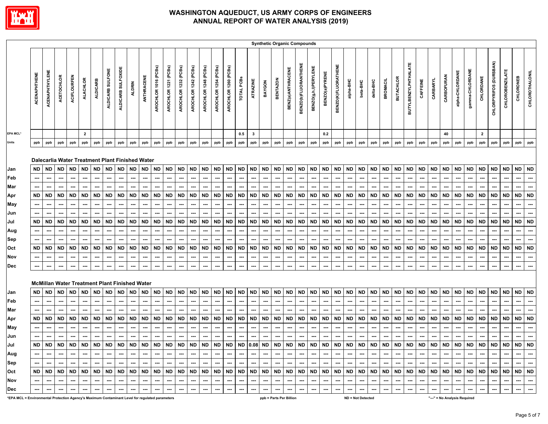

|                                                                                                  |              |                                                              |                   |                    |                          |                 |                          |                          |                          |                          |                          |                          |                      |                          |                      |                      |                      |                          |                          |           | <b>Synthetic Organic Compounds</b> |                          |                      |                      |                |                          |                          |                          |                          |                 |                          |                          |                          |                          |                |                              |                 |                          |                          |                          |                          |                          |
|--------------------------------------------------------------------------------------------------|--------------|--------------------------------------------------------------|-------------------|--------------------|--------------------------|-----------------|--------------------------|--------------------------|--------------------------|--------------------------|--------------------------|--------------------------|----------------------|--------------------------|----------------------|----------------------|----------------------|--------------------------|--------------------------|-----------|------------------------------------|--------------------------|----------------------|----------------------|----------------|--------------------------|--------------------------|--------------------------|--------------------------|-----------------|--------------------------|--------------------------|--------------------------|--------------------------|----------------|------------------------------|-----------------|--------------------------|--------------------------|--------------------------|--------------------------|--------------------------|
|                                                                                                  | ACENAPHTHENE | ACENAPHTHYLENE                                               | <b>ACETOCHLOR</b> | <b>ACIFLOURFEN</b> | <b>ALACHLOR</b>          | <b>ALDICARB</b> | ALDICARB SULFONE         | ALDICARB SULFOXIDE       | <b>ALDRIN</b>            | ANTHRACENE               | AROCHLOR 1016 (PCBs)     | AROCHLOR 1221 (PCBs)     | AROCHLOR 1232 (PCBs) | AROCHLOR 1242 (PCBs)     | AROCHLOR 1248 (PCBs) | AROCHLOR 1254 (PCBs) | AROCHLOR 1260 (PCBs) | TOTAL PCBs               | ATRAZINE                 | BAYGON    | <b>BENTAZON</b>                    | BENZ(a)ANTHRACENE        | BENZO(b)FLUORANTHENE | BENZO(g,h,l)PERYLENE | BENZO(a)PYRENE | BENZO(K)FLUORATHENE      | alpha-BHC                | beta-BHC                 | delta-BHC                | <b>BROMACIL</b> | <b>BUTACHLOR</b>         | BUTYLBENZYLPHTHALATE     | CAFFEINE                 | CARBARYL                 | CARBOFURAN     | alpha-CHLORDANE              | gamma-CHLORDANE | CHLORDANE                | CHLORPYRIFOS (DURSBAN)   | <b>CHLOROBENZILATE</b>   | CHLORONEB                | CHLOROTHALONIL           |
| EPA MCL*                                                                                         |              |                                                              |                   |                    | $\overline{2}$           |                 |                          |                          |                          |                          |                          |                          |                      |                          |                      |                      |                      | 0.5                      | $\mathbf{3}$             |           |                                    |                          |                      |                      | 0.2            |                          |                          |                          |                          |                 |                          |                          |                          |                          | 40             |                              |                 | $\overline{2}$           |                          |                          |                          |                          |
| Units                                                                                            | ppb          | ppb                                                          | ppb               | ppb                | ppb                      | ppb             | ppb                      | ppb                      | ppb                      | ppb                      | ppb                      | ppb                      | ppb                  | ppb                      | ppb                  | ppb                  | ppb                  | ppb                      | ppb                      | ppb       | ppb                                | ppb                      | ppb                  | ppb                  | ppb            | ppb                      | ppb                      | ppb                      | ppb                      | ppb             | ppb                      | ppb                      | ppb                      | ppb                      | ppb            | ppb                          | ppb             | ppb                      | ppb                      | ppb                      | ppb                      | ppb                      |
| Jan                                                                                              | ND           | Dalecarlia Water Treatment Plant Finished Water<br><b>ND</b> | <b>ND</b>         | <b>ND</b>          | <b>ND</b>                | <b>ND</b>       | <b>ND</b>                | ND                       | <b>ND</b>                | <b>ND</b>                | <b>ND</b>                | <b>ND</b>                | <b>ND</b>            | $\sf ND$                 | <b>ND</b>            | ND                   | <b>ND</b>            | <b>ND</b>                | <b>ND</b>                | <b>ND</b> | <b>ND</b>                          |                          | ND ND                | <b>ND</b>            |                | ND ND                    | <b>ND</b>                | <b>ND</b>                | ND ND                    |                 | <b>ND</b>                | ND ND                    |                          | <b>ND</b>                | <b>ND</b>      | <b>ND</b>                    | <b>ND</b>       | <b>ND</b>                | ND ND                    |                          | <b>ND</b>                | <b>ND</b>                |
| Feb                                                                                              |              |                                                              |                   |                    |                          |                 |                          |                          |                          |                          |                          |                          |                      |                          |                      |                      |                      |                          |                          |           |                                    |                          |                      |                      |                |                          |                          |                          |                          |                 |                          |                          |                          |                          |                |                              |                 |                          |                          |                          |                          | <u></u>                  |
| Mar                                                                                              | ---          | ---                                                          | ---               | ---                | ---                      | ---             | ---                      | ---                      | $\sim$                   | ---                      | ---                      | ---                      | ---                  | ---                      | ---                  | ---                  | ---                  | $\hspace{0.05cm} \cdots$ | ---                      | ---       | $\hspace{0.05cm} \cdots$           | ---                      | $\overline{a}$       | ---                  | ---            | ---                      | ---                      | $\overline{\phantom{a}}$ | ---                      | $\overline{a}$  | $\hspace{0.05cm} \cdots$ | ---                      | ---                      | ---                      | ---            | ---                          | ---             | $\hspace{0.05cm} \cdots$ | $\overline{\phantom{a}}$ | $\overline{\phantom{a}}$ | $\overline{\phantom{a}}$ |                          |
| Apr                                                                                              | <b>ND</b>    | <b>ND</b>                                                    | <b>ND</b>         | <b>ND</b>          | <b>ND</b>                | <b>ND</b>       | <b>ND</b>                | <b>ND</b>                | <b>ND</b>                | <b>ND</b>                | <b>ND</b>                | <b>ND</b>                | <b>ND</b>            | <b>ND</b>                | <b>ND</b>            | <b>ND</b>            | <b>ND</b>            | <b>ND</b>                | <b>ND</b>                | <b>ND</b> | <b>ND</b>                          | <b>ND</b>                | <b>ND</b>            | <b>ND</b>            | <b>ND</b>      | <b>ND</b>                | <b>ND</b>                | <b>ND</b>                | <b>ND</b>                | <b>ND</b>       | <b>ND</b>                | <b>ND</b>                | <b>ND</b>                | <b>ND</b>                | <b>ND</b>      | <b>ND</b>                    | <b>ND</b>       | <b>ND</b>                | <b>ND</b>                | <b>ND</b>                | <b>ND</b>                | <b>ND</b>                |
| May                                                                                              | ---          | ---                                                          | $\overline{a}$    | ---                | ---                      | ---             | ---                      | ---                      | $\overline{a}$           | ---                      | ---                      | $\hspace{0.05cm} \cdots$ | ---                  | ---                      | ---                  | ---                  | ---                  | ---                      | $\hspace{0.05cm} \ldots$ | ---       | ---                                | $\hspace{0.05cm} \cdots$ | $\overline{a}$       | ---                  | ---            | $\overline{\phantom{a}}$ | $\overline{\phantom{a}}$ | ---                      | $\hspace{0.05cm} \ldots$ | ---             | ---                      | ---                      | ---                      | $\overline{\phantom{a}}$ | $\overline{a}$ | ---                          | ---             | ---                      | ---                      | $\sim$                   | ---                      | μ.                       |
| Jun                                                                                              | ---          | ---                                                          | ---               | ---                | ---                      | ---             | ---                      | ---                      | ---                      | ---                      | ---                      | ---                      | ---                  | ---                      | ---                  |                      | ---                  | ---                      | ---                      | ---       | ---                                | ---                      | ---                  | ---                  | ---            | ---                      | ---                      | ---                      | ---                      | ---             | ---                      | ---                      | ---                      | $\overline{\phantom{a}}$ | ---            | ---                          |                 | ---                      | ---                      | $\sim$                   | ---                      | ---                      |
| Jul                                                                                              | ND           | <b>ND</b>                                                    | <b>ND</b>         | <b>ND</b>          | <b>ND</b>                | <b>ND</b>       | <b>ND</b>                | <b>ND</b>                | <b>ND</b>                | <b>ND</b>                | ${\sf ND}$               | ${\sf ND}$               | <b>ND</b>            | <b>ND</b>                | <b>ND</b>            | <b>ND</b>            | <b>ND</b>            | ${\sf ND}$               | <b>ND</b>                | <b>ND</b> | <b>ND</b>                          | <b>ND</b>                | <b>ND</b>            | <b>ND</b>            | ND             | <b>ND</b>                | <b>ND</b>                | <b>ND</b>                | ND ND                    |                 | <b>ND</b>                | <b>ND</b>                | <b>ND</b>                | <b>ND</b>                | <b>ND</b>      | <b>ND</b>                    | <b>ND</b>       | <b>ND</b>                | <b>ND</b>                | <b>ND</b>                | ${\sf ND}$               | <b>ND</b>                |
| Aug                                                                                              |              | $\sim$                                                       | ---               | ---                | ---                      | ÷.,             | $\sim$                   |                          |                          | ---                      | $\overline{a}$           | ---                      |                      | $\sim$                   |                      |                      | ---                  | ---                      | ---                      | ---       | $\sim$                             |                          |                      | ---                  | ---            | $\overline{a}$           | $\overline{\phantom{a}}$ | $\overline{\phantom{a}}$ |                          |                 | ---                      | ---                      | ---                      | $\sim$                   | ---            |                              |                 | ---                      | ---                      |                          |                          | $\overline{a}$           |
| Sep                                                                                              | ---          | ---                                                          | ---               | ---                | ---                      | ÷-              | $\overline{\phantom{a}}$ | $\overline{\phantom{a}}$ | ---                      | ---                      | ---                      | ---                      | ---                  | $\overline{\phantom{a}}$ | ---                  | $\sim$               | ---                  | ---                      | ---                      | ---       | $\overline{\phantom{a}}$           | ---                      | ---                  | ---                  | ---            | ---                      | ---                      | $\overline{\phantom{a}}$ | ---                      | ---             | ---                      | ---                      | ---                      | ---                      | $\overline{a}$ | ---                          | ---             | $\overline{a}$           | ---                      | ---                      | $\overline{\phantom{a}}$ | μ.,                      |
| Oct                                                                                              | <b>ND</b>    | <b>ND</b>                                                    | <b>ND</b>         | <b>ND</b>          | <b>ND</b>                | <b>ND</b>       | <b>ND</b>                | <b>ND</b>                | <b>ND</b>                | <b>ND</b>                | <b>ND</b>                | <b>ND</b>                | <b>ND</b>            | <b>ND</b>                | <b>ND</b>            | <b>ND</b>            | <b>ND</b>            | <b>ND</b>                | <b>ND</b>                | <b>ND</b> | <b>ND</b>                          | <b>ND</b>                | <b>ND</b>            | <b>ND</b>            | <b>ND</b>      | <b>ND</b>                | <b>ND</b>                | <b>ND</b>                | <b>ND</b>                | <b>ND</b>       | <b>ND</b>                | <b>ND</b>                | <b>ND</b>                | <b>ND</b>                | <b>ND</b>      | <b>ND</b>                    | <b>ND</b>       | <b>ND</b>                | <b>ND</b>                | <b>ND</b>                | <b>ND</b>                | <b>ND</b>                |
| Nov                                                                                              | ---          | $\overline{a}$                                               | ---               | ---                | $\overline{a}$           | ÷.,             | ---                      | ---                      | ---                      | ---                      | ---                      | ---                      | ---                  | ---                      | ---                  |                      | ---                  | ---                      | ---                      | ---       | ---                                | ---                      | ---                  | ---                  | ---            | $\sim$                   | $\sim$                   | ---                      | ---                      | ---             | ---                      | ---                      | ---                      | $\sim$                   | ---            | $\sim$                       | $\overline{a}$  | $\overline{a}$           | ---                      | ---                      | ---                      |                          |
| Dec                                                                                              | ---          |                                                              |                   | ---                | ---                      | ---             |                          | ---                      |                          |                          | ---                      | ---                      | ---                  | ---                      | ---                  | ---                  | ---                  | ---                      | ---                      | ---       | ---                                | ---                      | ---                  | ---                  |                | ---                      | ---                      | ---                      | ---                      | ---             | ---                      | ---                      | ---                      | ---                      |                | ---                          |                 | ---                      | ---                      | ---                      |                          |                          |
|                                                                                                  |              | McMillan Water Treatment Plant Finished Water                |                   |                    |                          |                 |                          |                          |                          |                          |                          |                          |                      |                          |                      |                      |                      |                          |                          |           |                                    |                          |                      |                      |                |                          |                          |                          |                          |                 |                          |                          |                          |                          |                |                              |                 |                          |                          |                          |                          |                          |
| Jan                                                                                              | <b>ND</b>    | <b>ND</b>                                                    | <b>ND</b>         | <b>ND</b>          | <b>ND</b>                | <b>ND</b>       | <b>ND</b>                | <b>ND</b>                | <b>ND</b>                | <b>ND</b>                | <b>ND</b>                | <b>ND</b>                | <b>ND</b>            | <b>ND</b>                | <b>ND</b>            | <b>ND</b>            | <b>ND</b>            | <b>ND</b>                | <b>ND</b>                | <b>ND</b> | <b>ND</b>                          | <b>ND</b>                | <b>ND</b>            | <b>ND</b>            | <b>ND</b>      | <b>ND</b>                | <b>ND</b>                | <b>ND</b>                | <b>ND</b>                | <b>ND</b>       | <b>ND</b>                | <b>ND</b>                | <b>ND</b>                | <b>ND</b>                | <b>ND</b>      | <b>ND</b>                    | <b>ND</b>       | <b>ND</b>                | ND ND                    |                          | <b>ND</b>                | <b>ND</b>                |
| Feb                                                                                              | ---          | $\hspace{0.05cm} \cdots$                                     | ---               | ---                | ---                      | ---             | ---                      | ---                      | $\sim$                   | ---                      | ---                      | ---                      |                      | $\overline{\phantom{a}}$ | ---                  | ---                  | ---                  | ---                      | $\hspace{0.05cm} \cdots$ | ---       | $\overline{\phantom{a}}$           | ---                      | ---                  | ---                  | ---            | ---                      | ---                      | ---                      | ---                      | ---             | ---                      | $\overline{\phantom{a}}$ | $\overline{\phantom{a}}$ | $\overline{\phantom{a}}$ | ---            | ---                          | ---             | ---                      | ---                      | $\overline{\phantom{a}}$ | ---                      | ---                      |
| Mar                                                                                              |              | $\overline{\phantom{a}}$                                     | ---               | ---                | $\overline{a}$           |                 | ---                      |                          | $\sim$                   | ---                      | ---                      | ---                      | ---                  | ---                      |                      |                      | ---                  | ---                      | ---                      | ---       | ---                                | ---                      | ---                  | ---                  | ---            | ---                      | ---                      | ---                      | ---                      | ---             | ---                      | ---                      | ---                      | $\sim$                   | $\overline{a}$ |                              | ---             | ---                      | ---                      | ---                      | ---                      |                          |
| Apr                                                                                              | ND           | <b>ND</b>                                                    | <b>ND</b>         | <b>ND</b>          | <b>ND</b>                | <b>ND</b>       | <b>ND</b>                | ND                       | <b>ND</b>                | <b>ND</b>                | <b>ND</b>                | <b>ND</b>                | <b>ND</b>            | <b>ND</b>                | ND                   | <b>ND</b>            | <b>ND</b>            | <b>ND</b>                | <b>ND</b>                | <b>ND</b> | <b>ND</b>                          | <b>ND</b>                | <b>ND</b>            | <b>ND</b>            | <b>ND</b>      | <b>ND</b>                | <b>ND</b>                | <b>ND</b>                | <b>ND</b>                | <b>ND</b>       | <b>ND</b>                | <b>ND</b>                | <b>ND</b>                | <b>ND</b>                | <b>ND</b>      | <b>ND</b>                    | <b>ND</b>       | <b>ND</b>                | <b>ND</b>                | <b>ND</b>                | <b>ND</b>                | <b>ND</b>                |
| May                                                                                              | ---          | $\hspace{0.05cm} \cdots$                                     | ---               | ---                | $\hspace{0.05cm} \cdots$ | ---             | ---                      | ---                      | $\hspace{0.05cm} \ldots$ | ---                      | ---                      | ---                      | ---                  | ---                      | ---                  | ---                  | ---                  | ---                      | $\hspace{0.05cm} \ldots$ | ---       | ---                                | ---                      | ---                  | ---                  | ---            | ---                      | ---                      | ---                      | ---                      | ---             | ---                      | ---                      | $\hspace{0.05cm} \cdots$ | ---                      | ---            | ---                          | ---             | ---                      | ---                      |                          |                          | $\hspace{0.05cm} \cdots$ |
| Jun                                                                                              |              |                                                              |                   |                    |                          |                 |                          |                          |                          |                          |                          |                          |                      |                          |                      |                      |                      |                          |                          |           | ---                                |                          |                      |                      |                |                          |                          |                          |                          |                 |                          |                          |                          |                          |                |                              |                 |                          |                          |                          |                          | ---                      |
| Jul                                                                                              | <b>ND</b>    | <b>ND</b>                                                    | <b>ND</b>         | <b>ND</b>          | <b>ND</b>                | <b>ND</b>       | <b>ND</b>                | <b>ND</b>                | <b>ND</b>                | <b>ND</b>                | <b>ND</b>                | <b>ND</b>                | <b>ND</b>            | <b>ND</b>                | <b>ND</b>            | <b>ND</b>            | <b>ND</b>            | <b>ND</b>                | $0.08$ ND                |           | <b>ND</b>                          | <b>ND</b>                | <b>ND</b>            | <b>ND</b>            | <b>ND</b>      | <b>ND</b>                | <b>ND</b>                | <b>ND</b>                | <b>ND</b>                | <b>ND</b>       | <b>ND</b>                | <b>ND</b>                | <b>ND</b>                | <b>ND</b>                | <b>ND</b>      | <b>ND</b>                    | <b>ND</b>       | <b>ND</b>                | <b>ND</b>                | <b>ND</b>                | <b>ND</b>                | <b>ND</b>                |
| Aug                                                                                              | ---          |                                                              | ---               | ---                | ---                      | ---             | ---                      | ---                      |                          | ---                      | ---                      | ---                      |                      | ---                      | ---                  | ---                  | ---                  | ---                      | ---                      |           | ---                                | ---                      | ---                  | ---                  | ---            | ---                      | ---                      | ---                      | ---                      | ---             | ---                      | ---                      | ---                      | ---                      | ---            | ---                          | ---             | ---                      | ---                      | ---                      | ---                      | ---                      |
| Sep                                                                                              |              | $\overline{a}$                                               |                   | ---                | ---                      |                 | $\overline{a}$           |                          | $\overline{\phantom{a}}$ | ---                      | …                        | $\overline{\phantom{a}}$ | ---                  | $\overline{a}$           | ---                  |                      | ---                  |                          | $\overline{\phantom{a}}$ | ---       | $\overline{\phantom{a}}$           | ---                      |                      | ---                  | …              | ---                      | ---                      | $\overline{\phantom{a}}$ |                          | $\overline{a}$  | ---                      | ш,                       | ---                      | ---                      | ---            |                              | ---             | ---                      |                          | ---                      | ---                      | L.                       |
| Oct                                                                                              | ND           | <b>ND</b>                                                    | <b>ND</b>         | <b>ND</b>          | <b>ND</b>                | <b>ND</b>       | <b>ND</b>                | ND                       | <b>ND</b>                | <b>ND</b>                | <b>ND</b>                | <b>ND</b>                | <b>ND</b>            | <b>ND</b>                | ND ND                |                      | <b>ND</b>            | <b>ND</b>                | <b>ND</b>                | <b>ND</b> | <b>ND</b>                          | <b>ND</b>                | ND                   | <b>ND</b>            | <b>ND</b>      | <b>ND</b>                | <b>ND</b>                | <b>ND</b>                | <b>ND</b>                | ND              | <b>ND</b>                | <b>ND</b>                | <b>ND</b>                | <b>ND</b>                | <b>ND</b>      | <b>ND</b>                    | <b>ND</b>       | <b>ND</b>                | <b>ND</b>                | <b>ND</b>                | <b>ND</b>                | <b>ND</b>                |
| Nov                                                                                              | ---          | ---                                                          | ---               | ---                | ---                      | …               | $\overline{\phantom{a}}$ | ---                      | $\overline{\phantom{a}}$ | ---                      | ---                      | ---                      | ---                  | ---                      | ---                  | ---                  | ---                  | ---                      | ---                      | ---       | $\hspace{0.05cm} \cdots$           | ---                      | ---                  | ---                  | ---            | ---                      | ---                      | ---                      | ---                      | ---             | ---                      | ---                      | ---                      | ---                      | ---            | ---                          | ---             | ---                      | ---                      |                          | ---                      | ---                      |
| Dec                                                                                              | ---          | ---                                                          | ---               | ---                | $\ldots$                 | ---             | $\overline{a}$           | $\overline{\phantom{a}}$ | $\hspace{0.05cm} \ldots$ | $\overline{\phantom{a}}$ | $\overline{\phantom{a}}$ | ---                      | ---                  | $\overline{a}$           | ---                  | ---                  | ---                  | ---                      | ---                      | ---       | $\overline{\phantom{a}}$           | $\hspace{0.05cm} \cdots$ | $\overline{a}$       | ---                  | $\overline{a}$ | ---                      | ---                      | $\cdots$                 | ---                      | $\overline{a}$  | $\overline{\phantom{a}}$ | ---                      | $\overline{\phantom{a}}$ | $\overline{\phantom{a}}$ | $\ldots$       | $\overline{\phantom{a}}$     | ---             | $\overline{a}$           | ---                      | ---                      | $\overline{a}$           |                          |
| *EPA MCL = Environmental Protection Agency's Maximum Contaminant Level for regulated parameters* |              |                                                              |                   |                    |                          |                 |                          |                          |                          |                          |                          |                          |                      |                          |                      |                      |                      |                          |                          |           | ppb = Parts Per Billion            |                          |                      |                      |                |                          |                          | ND = Not Detected        |                          |                 |                          |                          |                          |                          |                | "---" = No Analysis Required |                 |                          |                          |                          |                          |                          |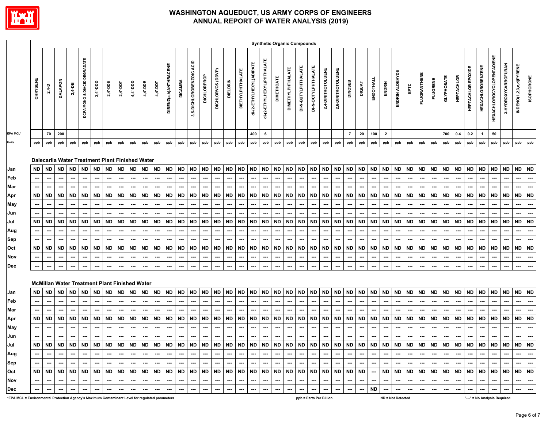

|                                                                                                 |                  |                                       |                |                                                      |                                       |                  |                             |                             |                                 |                  |                  |                          |                  |                                 |                    |                                       |                  |                  |                          | <b>Synthetic Organic Compounds</b> |                   |                          |                                       |                          |                    |                          |                                       |                |                          |                                       |                          |                   |                                       |                  |                             |                            |                          |                          |                                  |                                       |                             |                             |
|-------------------------------------------------------------------------------------------------|------------------|---------------------------------------|----------------|------------------------------------------------------|---------------------------------------|------------------|-----------------------------|-----------------------------|---------------------------------|------------------|------------------|--------------------------|------------------|---------------------------------|--------------------|---------------------------------------|------------------|------------------|--------------------------|------------------------------------|-------------------|--------------------------|---------------------------------------|--------------------------|--------------------|--------------------------|---------------------------------------|----------------|--------------------------|---------------------------------------|--------------------------|-------------------|---------------------------------------|------------------|-----------------------------|----------------------------|--------------------------|--------------------------|----------------------------------|---------------------------------------|-----------------------------|-----------------------------|
|                                                                                                 | CHRYSENE         | $2,4-D$                               | <b>DALAPON</b> | 2,4-DB                                               | DCPA MONO & DIACID DEGRADATE          | 2,4'-DDD         | 2,4'-DDE                    | 2,4'-DDT                    | 4,4'-DDD                        | 4,4'-DDE         | 14,4'-DDT        | DIBENZ(a, h)ANTHRACENE   | <b>DICAMBA</b>   | 3,5-DICHLOROBENZOIC ACID        | <b>DICHLORPROP</b> | DICHLORVOS (DDVP)                     | DIELDRIN         | DIETHYLPHTHALATE | di-(2-ETHYLHEXYL)ADIPATE | di-(2-ETHYLHEXYL)PHTHALATE         | <b>DIMETHOATE</b> | <b>DIMETHYLPHTHALATE</b> | DI-N-BUTYLPHTHALATE                   | DI-N-OCTYLPHTHALATE      | 2,4-DINITROTOLUENE | 2,6-DINITROTOLUENE       | DINOSEB                               | <b>DIQUAT</b>  | ENDOTHALL                | ENDRIN                                | ENDRIN ALDEHYDE          | EPTC              | <b>FLUORANTHENE</b>                   | <b>FLUORENE</b>  | GLYPHOSATE                  | <b>HEPTACHLOR</b>          | HEPTACHLOR EPOXIDE       | <b>HEXACHLOROBENZENE</b> | <b>HEXACHLOROCYCLOPENTADIENE</b> | 3-HYDROXYCARBOFURAN                   | INDENO(1,2,3,c,d)PYRENE     | <b>ISOPHORONE</b>           |
| EPA MCL*                                                                                        |                  | 70                                    | 200            |                                                      |                                       |                  |                             |                             |                                 |                  |                  |                          |                  |                                 |                    |                                       |                  |                  | 400                      | $\bf 6$                            |                   |                          |                                       |                          |                    |                          | $\overline{7}$                        | 20             | 100                      | $\overline{\mathbf{2}}$               |                          |                   |                                       |                  | 700                         | $0.4\,$                    | 0.2                      | $\overline{1}$           | 50                               |                                       |                             |                             |
| Units                                                                                           | ppb              | ppb                                   | ppb            | ppb                                                  | ppb                                   | ppb              | ppb                         | ppb                         | ppb                             | ppb              | ppb              | ppb                      | ppb              | ppb                             | ppb                | ppb                                   | ppb              | ppb              | ppb                      | ppb                                | ppb               | ppb                      | ppb                                   | ppb                      | ppb                | ppb                      | ppb                                   | ppb            | ppb                      | ppb                                   | ppb                      | ppb               | ppb                                   | ppb              | ppb                         | ppb                        | ppb                      | ppb                      | ppb                              | ppb                                   | ppb                         | ppb                         |
|                                                                                                 |                  |                                       |                | Dalecarlia Water Treatment Plant Finished Water      |                                       |                  |                             |                             |                                 |                  |                  |                          |                  |                                 |                    |                                       |                  |                  |                          |                                    |                   |                          |                                       |                          |                    |                          |                                       |                |                          |                                       |                          |                   |                                       |                  |                             |                            |                          |                          |                                  |                                       |                             |                             |
| Jan                                                                                             | ND               | <b>ND</b><br>$\overline{a}$           | <b>ND</b>      | <b>ND</b>                                            | <b>ND</b>                             | <b>ND</b>        | <b>ND</b><br>$\overline{a}$ | <b>ND</b><br>$\overline{a}$ | <b>ND</b>                       | <b>ND</b>        | <b>ND</b>        | <b>ND</b>                | <b>ND</b>        | $\sf ND$                        | ${\sf ND}$         | $\sf ND$                              | <b>ND</b>        | $\sf ND$         | <b>ND</b>                | <b>ND</b>                          | ${\sf ND}$        | <b>ND</b>                | <b>ND</b>                             | <b>ND</b>                | $\sf ND$           | <b>ND</b>                | <b>ND</b>                             | ${\sf ND}$     | <b>ND</b>                | <b>ND</b>                             | <b>ND</b>                | ${\sf ND}$<br>--- | <b>ND</b>                             | <b>ND</b><br>ш,  | <b>ND</b><br>$\overline{a}$ | $\sf ND$<br>$\overline{a}$ | <b>ND</b>                | <b>ND</b>                | $\sf ND$<br>$\overline{a}$       | <b>ND</b>                             | <b>ND</b><br>$\overline{a}$ | <b>ND</b><br>$\overline{a}$ |
| Feb                                                                                             | ---<br>---       | $\overline{\phantom{a}}$              | ---<br>---     | ---<br>---                                           | ---                                   | ---<br>---       | $\sim$                      | ---                         | ---<br>$\hspace{0.05cm} \ldots$ | ---              | ---              | ---                      | ---              | ---<br>$\overline{\phantom{a}}$ | ---                |                                       | ---              | ---              | ---                      |                                    |                   | ---                      |                                       | ---<br>---               | ---<br>---         | ---                      | Щ,                                    | ---<br>---     | ---                      |                                       | ---                      |                   | $\overline{\phantom{a}}$              | ---              | ---                         | ---                        | ---                      |                          |                                  | $\overline{\phantom{a}}$              |                             | $\overline{\phantom{a}}$    |
| Mar                                                                                             | <b>ND</b>        | <b>ND</b>                             | <b>ND</b>      | <b>ND</b>                                            | $\hspace{0.05cm} \ldots$<br><b>ND</b> | <b>ND</b>        | <b>ND</b>                   | <b>ND</b>                   | <b>ND</b>                       | ---<br><b>ND</b> | ---<br><b>ND</b> | ---<br><b>ND</b>         | ---<br><b>ND</b> | <b>ND</b>                       | <b>ND</b>          | $\hspace{0.05cm} \cdots$<br><b>ND</b> | ---<br><b>ND</b> | ---<br><b>ND</b> | ---<br><b>ND</b>         | ---<br><b>ND</b>                   | ---<br><b>ND</b>  | <b>ND</b>                | $\hspace{0.05cm} \cdots$<br><b>ND</b> | <b>ND</b>                | <b>ND</b>          | ---<br><b>ND</b>         | $\overline{\phantom{a}}$<br><b>ND</b> | <b>ND</b>      | <b>ND</b>                | $\overline{\phantom{a}}$<br><b>ND</b> | ---<br><b>ND</b>         | ---<br><b>ND</b>  | $\hspace{0.05cm} \ldots$<br><b>ND</b> | <b>ND</b>        | <b>ND</b>                   | <b>ND</b>                  | <b>ND</b>                | ---<br><b>ND</b>         | ---<br><b>ND</b>                 | $\hspace{0.05cm} \ldots$<br><b>ND</b> | ---<br><b>ND</b>            | <b>ND</b>                   |
| Apr                                                                                             | ---              | ---                                   | ---            | ---                                                  | ---                                   | ---              | ---                         | ---                         | ---                             | ---              |                  | ---                      | ---              | ---                             |                    |                                       |                  |                  | ---                      |                                    | ---               |                          | ---                                   |                          | ---                | ---                      | ---                                   | ---            | ---                      | ---                                   | ---                      | ---               | ---                                   | ---              | ---                         |                            | ---                      | ---                      | ---                              | ---                                   | ---                         |                             |
| May                                                                                             |                  |                                       | ---            |                                                      | ---                                   |                  |                             |                             |                                 |                  | ---              | ---                      |                  |                                 | ---<br>---         | ---                                   | ---<br>---       | ---              | ---                      | ---                                |                   | ---                      |                                       | ---<br>---               |                    | ---                      | ---                                   | ---            | $\overline{\phantom{a}}$ |                                       | ---                      |                   | ---                                   |                  |                             | ---<br>---                 |                          | ---                      |                                  | ---                                   |                             | $\overline{a}$              |
| Jun<br>Jul                                                                                      | ---<br><b>ND</b> | $\hspace{0.05cm} \cdots$<br><b>ND</b> | <b>ND</b>      | ---<br><b>ND</b>                                     | <b>ND</b>                             | ---<br><b>ND</b> | <b>ND</b>                   | ---<br><b>ND</b>            | <b>ND</b>                       | ---<br><b>ND</b> | <b>ND</b>        | <b>ND</b>                | ---<br><b>ND</b> | <b>ND</b>                       | <b>ND</b>          | <b>ND</b>                             | <b>ND</b>        | ---<br><b>ND</b> | <b>ND</b>                | ---<br><b>ND</b>                   | <b>ND</b>         | ---<br><b>ND</b>         | <b>ND</b>                             | <b>ND</b>                | ---<br><b>ND</b>   | <b>ND</b>                | <b>ND</b>                             | <b>ND</b>      | <b>ND</b>                | <b>ND</b>                             | <b>ND</b>                | ---<br><b>ND</b>  | <b>ND</b>                             | ---<br><b>ND</b> | <b>ND</b>                   | <b>ND</b>                  | <b>ND</b>                | <b>ND</b>                | ---<br><b>ND</b>                 | <b>ND</b>                             | <b>ND</b>                   | <b>ND</b>                   |
|                                                                                                 | ---              | $\overline{a}$                        | ---            | ---                                                  | ---                                   | ---              | ---                         |                             | ---                             | ---              | ---              | ---                      | ---              | ---                             |                    |                                       | ---              | ---              | ---                      | ---                                | ---               |                          | ---                                   | ---                      | ---                | ---                      | ---                                   | ---            |                          | ---                                   | ---                      | $\overline{a}$    | ---                                   | ---              | ---                         |                            |                          |                          |                                  |                                       |                             | ---                         |
| Aug                                                                                             | ---              | $\overline{\phantom{a}}$              | ---            | $\overline{a}$                                       | ---                                   | ---              | $\overline{\phantom{a}}$    | ---                         | $\overline{a}$                  | $\overline{a}$   | $\overline{a}$   | ---                      | ---              | ---                             | ---                | $\overline{a}$                        | $\overline{a}$   | $\overline{a}$   | ---                      |                                    | ---               | ---                      |                                       | ---                      | ---                | $\overline{a}$           | ---                                   | $\overline{a}$ | ---                      | ---                                   | ---                      | ---               | ---                                   | ---              | ---                         | ---                        | ---                      | $\sim$                   | ---                              | ---                                   | …                           | $\overline{\phantom{a}}$    |
| Sep                                                                                             | <b>ND</b>        | <b>ND</b>                             | <b>ND</b>      | <b>ND</b>                                            | <b>ND</b>                             | <b>ND</b>        | <b>ND</b>                   | <b>ND</b>                   | <b>ND</b>                       | <b>ND</b>        | <b>ND</b>        | <b>ND</b>                | <b>ND</b>        | <b>ND</b>                       | <b>ND</b>          | <b>ND</b>                             | <b>ND</b>        | <b>ND</b>        | <b>ND</b>                | ---<br><b>ND</b>                   | <b>ND</b>         | <b>ND</b>                | <b>ND</b>                             | <b>ND</b>                | <b>ND</b>          | <b>ND</b>                | <b>ND</b>                             | <b>ND</b>      | <b>ND</b>                | <b>ND</b>                             | <b>ND</b>                | <b>ND</b>         | <b>ND</b>                             | <b>ND</b>        | <b>ND</b>                   | <b>ND</b>                  | <b>ND</b>                | <b>ND</b>                | <b>ND</b>                        | <b>ND</b>                             | <b>ND</b>                   | <b>ND</b>                   |
| Oct<br>Nov                                                                                      |                  | ---                                   | ---            | $\overline{a}$                                       | $\overline{a}$                        | ---              | ---                         | ---                         | $\overline{a}$                  | $\overline{a}$   | ---              |                          | ---              | ---                             | $\overline{a}$     | $\overline{a}$                        |                  | ---              |                          |                                    | ---               |                          | ---                                   | $\sim$                   | $\overline{a}$     |                          | ---                                   | ---            |                          | $\overline{a}$                        | ---                      | $\overline{a}$    | ---                                   | ---              | ---                         | ---                        | $\overline{a}$           | ---                      | $\overline{a}$                   | $\overline{a}$                        | ---                         |                             |
| Dec                                                                                             | ---<br>---       |                                       |                |                                                      | ---                                   | ---              |                             | ---                         |                                 | ---              |                  | ---<br>---               | ---              | ---                             | ---                |                                       | ---<br>---       | ---              | ---<br>---               | ---<br>---                         |                   | ---<br>---               | ---                                   | ---                      | ---                | ---<br>---               | ---                                   | ---            | ---<br>---               |                                       | ---                      | ---               | ---                                   | ---              |                             | ---                        |                          |                          |                                  | ---                                   |                             |                             |
|                                                                                                 |                  |                                       |                |                                                      |                                       |                  |                             |                             |                                 |                  |                  |                          |                  |                                 |                    |                                       |                  |                  |                          |                                    |                   |                          |                                       |                          |                    |                          |                                       |                |                          |                                       |                          |                   |                                       |                  |                             |                            |                          |                          |                                  |                                       |                             |                             |
|                                                                                                 |                  |                                       |                | <b>McMillan Water Treatment Plant Finished Water</b> |                                       |                  |                             |                             |                                 |                  |                  |                          |                  |                                 |                    |                                       |                  |                  |                          |                                    |                   |                          |                                       |                          |                    |                          |                                       |                |                          |                                       |                          |                   |                                       |                  |                             |                            |                          |                          |                                  |                                       |                             |                             |
| Jan                                                                                             | <b>ND</b>        | <b>ND</b>                             | <b>ND</b>      | <b>ND</b>                                            | <b>ND</b>                             | <b>ND</b>        | <b>ND</b>                   | <b>ND</b>                   | <b>ND</b>                       | <b>ND</b>        | <b>ND</b>        | <b>ND</b>                | <b>ND</b>        | <b>ND</b>                       | <b>ND</b>          | <b>ND</b>                             | <b>ND</b>        | <b>ND</b>        | <b>ND</b>                | <b>ND</b>                          | <b>ND</b>         | <b>ND</b>                | <b>ND</b>                             | <b>ND</b>                | <b>ND</b>          | <b>ND</b>                | <b>ND</b>                             | <b>ND</b>      | <b>ND</b>                | <b>ND</b>                             | <b>ND</b>                | <b>ND</b>         | <b>ND</b>                             | <b>ND</b>        | <b>ND</b>                   | ND                         | <b>ND</b>                | <b>ND</b>                | <b>ND</b>                        | <b>ND</b>                             | <b>ND</b>                   | <b>ND</b>                   |
| Feb                                                                                             | ---              | ---                                   | ---            | ---                                                  | ---                                   | ---              | $\overline{\phantom{a}}$    | ---                         | ---                             | ---              | ---              | ---                      | ---              | $\overline{\phantom{a}}$        | ---                | ---                                   | ---              | ---              | ---                      | ---                                | ---               | $\overline{\phantom{a}}$ | ---                                   | $\overline{\phantom{a}}$ | ---                | $\overline{\phantom{a}}$ | ---                                   | ---            | $\overline{\phantom{a}}$ | $\overline{\phantom{a}}$              | ---                      | ---               | $\overline{\phantom{a}}$              | ---              | ---                         | $\overline{\phantom{a}}$   | $\hspace{0.05cm} \cdots$ | ---                      | ---                              | $\overline{\phantom{a}}$              | ---                         | $\overline{\phantom{a}}$    |
| Mar                                                                                             |                  | ---                                   | ---            | ---                                                  | ---                                   | ---              |                             |                             | ---                             | ---              | ---              | ---                      | ---              | ---                             | ---                | ---                                   | ---              | ---              | ---                      | ---                                |                   | ---                      | ---                                   | ---                      | ---                | ---                      | ---                                   | ---            | ---                      | ---                                   | ---                      | ---               | ---                                   | ---              | …                           | ---                        | ---                      | ---                      | ---                              | ---                                   | ---                         |                             |
| Apr                                                                                             | ND               | <b>ND</b>                             | <b>ND</b>      | <b>ND</b>                                            | <b>ND</b>                             | <b>ND</b>        | <b>ND</b>                   | <b>ND</b>                   | <b>ND</b>                       | <b>ND</b>        | <b>ND</b>        | <b>ND</b>                | <b>ND</b>        | <b>ND</b>                       | <b>ND</b>          | <b>ND</b>                             | <b>ND</b>        | <b>ND</b>        | <b>ND</b>                | <b>ND</b>                          | <b>ND</b>         | <b>ND</b>                | <b>ND</b>                             | <b>ND</b>                | <b>ND</b>          | <b>ND</b>                | <b>ND</b>                             | <b>ND</b>      | <b>ND</b>                | <b>ND</b>                             | <b>ND</b>                | <b>ND</b>         | <b>ND</b>                             | <b>ND</b>        | <b>ND</b>                   | <b>ND</b>                  | <b>ND</b>                | <b>ND</b>                | <b>ND</b>                        | <b>ND</b>                             | <b>ND</b>                   | <b>ND</b>                   |
| May                                                                                             | ---              | $\hspace{0.05cm} \cdots$              |                | ---                                                  | ---                                   | ---              | ---                         | ---                         |                                 | ---              | ---              | ---                      | ---              | $\cdots$                        | ---                |                                       | ---              | ---              | ---                      | ---                                | ---               | ---                      |                                       | ---                      | ---                | ---                      | ---                                   | ---            | ---                      |                                       | ---                      | ---               | $\hspace{0.05cm} \cdots$              | ---              | ---                         | ---                        |                          |                          | ---                              | ---                                   |                             | $\overline{\phantom{a}}$    |
| Jun                                                                                             |                  |                                       |                |                                                      |                                       |                  |                             |                             |                                 |                  |                  |                          |                  |                                 |                    |                                       |                  |                  |                          |                                    |                   |                          |                                       |                          |                    |                          |                                       |                |                          |                                       |                          |                   |                                       |                  |                             |                            |                          |                          |                                  |                                       |                             | $\overline{a}$              |
| Jul                                                                                             | <b>ND</b>        | <b>ND</b>                             | <b>ND</b>      | <b>ND</b>                                            | <b>ND</b>                             | <b>ND</b>        | <b>ND</b>                   | <b>ND</b>                   | <b>ND</b>                       | <b>ND</b>        | <b>ND</b>        | <b>ND</b>                | <b>ND</b>        | <b>ND</b>                       | <b>ND</b>          | <b>ND</b>                             | <b>ND</b>        | <b>ND</b>        | <b>ND</b>                | <b>ND</b>                          | <b>ND</b>         | <b>ND</b>                | <b>ND</b>                             | <b>ND</b>                | <b>ND</b>          | <b>ND</b>                | <b>ND</b>                             | <b>ND</b>      | <b>ND</b>                | <b>ND</b>                             | <b>ND</b>                | <b>ND</b>         | <b>ND</b>                             | <b>ND</b>        | <b>ND</b>                   | <b>ND</b>                  | <b>ND</b>                | <b>ND</b>                | <b>ND</b>                        | <b>ND</b>                             | <b>ND</b>                   | <b>ND</b>                   |
| Aug                                                                                             | ---              |                                       | ---            | ---                                                  | ---                                   | …                | ---                         | ---                         |                                 | ---              | ---              | ---                      | ---              | ---                             |                    |                                       | ---              | ---              | ---                      | …                                  | ---               | ---                      |                                       | ---                      | ---                | ---                      | ---                                   | ---            |                          | ---                                   | ---                      | ---               | ---                                   | ---              |                             | ---                        |                          | ---                      | ---                              | ---                                   | ---                         | $\overline{\phantom{a}}$    |
| Sep                                                                                             |                  | ---                                   |                |                                                      | ---                                   |                  |                             |                             | ---                             |                  |                  | ---                      | ---              | ---                             |                    | ---                                   | $\overline{a}$   |                  | ---                      | ---                                | ---               | $\sim$                   | ---                                   | ---                      | ---                | ---                      | ---                                   | ---            | ---                      | ---                                   |                          | ---               | ---                                   | ш,               | ---                         |                            | ---                      |                          |                                  | ---                                   |                             |                             |
| Oct                                                                                             | <b>ND</b>        | <b>ND</b>                             | <b>ND</b>      | <b>ND</b>                                            | <b>ND</b>                             | <b>ND</b>        | <b>ND</b>                   | ND                          | <b>ND</b>                       | <b>ND</b>        | <b>ND</b>        | <b>ND</b>                | <b>ND</b>        | <b>ND</b>                       | ND                 | <b>ND</b>                             | <b>ND</b>        | <b>ND</b>        | <b>ND</b>                | <b>ND</b>                          | <b>ND</b>         |                          | ND ND                                 | <b>ND</b>                | <b>ND</b>          | <b>ND</b>                | <b>ND</b>                             | <b>ND</b>      | $\sim$                   | <b>ND</b>                             | <b>ND</b>                | <b>ND</b>         | <b>ND</b>                             | <b>ND</b>        | $\sf ND$                    | ND                         | <b>ND</b>                | <b>ND</b>                | <b>ND</b>                        | <b>ND</b>                             | <b>ND</b>                   | <b>ND</b>                   |
| Nov                                                                                             | ---              | ---                                   | ---            | ---                                                  | ---                                   |                  | ---                         | ---                         | ---                             | ---              | ---              | ---                      |                  | ---                             | ---                |                                       | ---              | ---              | ---                      | ---                                | ---               | $\overline{\phantom{a}}$ | ---                                   | ---                      | ---                | ⊷                        | ---                                   | ---            | ---                      | ---                                   | $\overline{\phantom{a}}$ | ---               | ---                                   | ---              | ---                         | ---                        |                          | ---                      | ---                              | ---                                   |                             | $\overline{\phantom{a}}$    |
| Dec                                                                                             | ---              | ---                                   | ---            | ш.                                                   | $\cdots$                              | ---              | $\overline{\phantom{a}}$    | $\overline{a}$              | $\ldots$                        | ---              | ---              | $\overline{\phantom{a}}$ | ---              | $\overline{a}$                  | ---                | ---                                   | ---              | ---              | ---                      |                                    | ---               | $\overline{\phantom{a}}$ | ---                                   | ---                      | $\overline{a}$     | ---                      | ---                                   | $\overline{a}$ | <b>ND</b>                | $\hspace{0.05cm} \ldots$              | $\overline{\phantom{a}}$ | ---               | ---                                   | ---              | $\overline{a}$              | $\overline{a}$             | ---                      | $\overline{\phantom{a}}$ | ---                              | $\overline{\phantom{a}}$              | ---                         |                             |
| *EPA MCL = Environmental Protection Agency's Maximum Contaminant Level for regulated parameters |                  |                                       |                |                                                      |                                       |                  |                             |                             |                                 |                  |                  |                          |                  |                                 |                    |                                       |                  |                  |                          |                                    |                   |                          |                                       | ppb = Parts Per Billion  |                    |                          |                                       |                |                          |                                       | <b>ND = Not Detected</b> |                   |                                       |                  |                             |                            |                          |                          | "---" = No Analysis Required     |                                       |                             |                             |